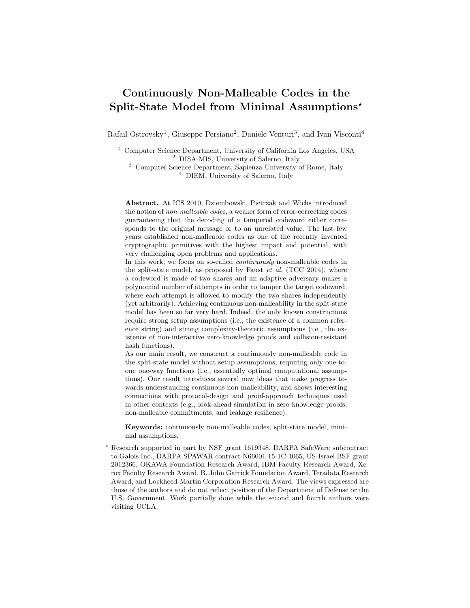# Continuously Non-Malleable Codes in the Split-State Model from Minimal Assumptions?

Rafail Ostrovsky<sup>1</sup>, Giuseppe Persiano<sup>2</sup>, Daniele Venturi<sup>3</sup>, and Ivan Visconti<sup>4</sup>

<sup>1</sup> Computer Science Department, University of California Los Angeles, USA <sup>2</sup> DISA-MIS, University of Salerno, Italy

<sup>3</sup> Computer Science Department, Sapienza University of Rome, Italy <sup>4</sup> DIEM, University of Salerno, Italy

Abstract. At ICS 2010, Dziembowski, Pietrzak and Wichs introduced the notion of non-malleable codes, a weaker form of error-correcting codes guaranteeing that the decoding of a tampered codeword either corresponds to the original message or to an unrelated value. The last few years established non-malleable codes as one of the recently invented cryptographic primitives with the highest impact and potential, with very challenging open problems and applications.

In this work, we focus on so-called continuously non-malleable codes in the split-state model, as proposed by Faust  $et$  al. (TCC 2014), where a codeword is made of two shares and an adaptive adversary makes a polynomial number of attempts in order to tamper the target codeword, where each attempt is allowed to modify the two shares independently (yet arbitrarily). Achieving continuous non-malleability in the split-state model has been so far very hard. Indeed, the only known constructions require strong setup assumptions (i.e., the existence of a common reference string) and strong complexity-theoretic assumptions (i.e., the existence of non-interactive zero-knowledge proofs and collision-resistant hash functions).

As our main result, we construct a continuously non-malleable code in the split-state model without setup assumptions, requiring only one-toone one-way functions (i.e., essentially optimal computational assumptions). Our result introduces several new ideas that make progress towards understanding continuous non-malleability, and shows interesting connections with protocol-design and proof-approach techniques used in other contexts (e.g., look-ahead simulation in zero-knowledge proofs, non-malleable commitments, and leakage resilience).

Keywords: continuously non-malleable codes, split-state model, minimal assumptions.

<sup>?</sup> Research supported in part by NSF grant 1619348, DARPA SafeWare subcontract to Galois Inc., DARPA SPAWAR contract N66001-15-1C-4065, US-Israel BSF grant 2012366, OKAWA Foundation Research Award, IBM Faculty Research Award, Xerox Faculty Research Award, B. John Garrick Foundation Award, Teradata Research Award, and Lockheed-Martin Corporation Research Award. The views expressed are those of the authors and do not reflect position of the Department of Defense or the U.S. Government. Work partially done while the second and fourth authors were visiting UCLA.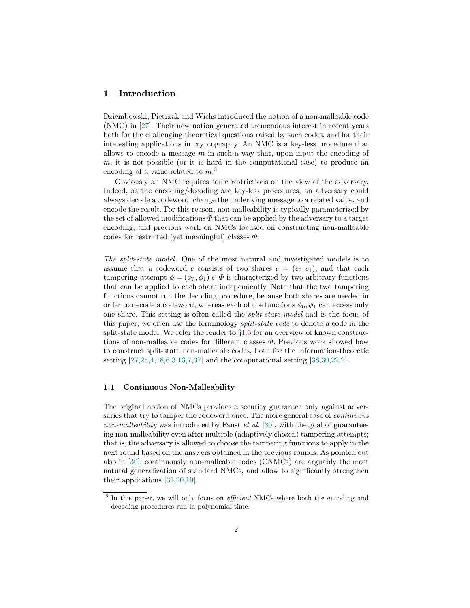# <span id="page-1-1"></span>1 Introduction

Dziembowski, Pietrzak and Wichs introduced the notion of a non-malleable code (NMC) in [\[27\]](#page-29-0). Their new notion generated tremendous interest in recent years both for the challenging theoretical questions raised by such codes, and for their interesting applications in cryptography. An NMC is a key-less procedure that allows to encode a message  $m$  in such a way that, upon input the encoding of  $m$ , it is not possible (or it is hard in the computational case) to produce an encoding of a value related to  $m<sup>5</sup>$  $m<sup>5</sup>$  $m<sup>5</sup>$ 

Obviously an NMC requires some restrictions on the view of the adversary. Indeed, as the encoding/decoding are key-less procedures, an adversary could always decode a codeword, change the underlying message to a related value, and encode the result. For this reason, non-malleability is typically parameterized by the set of allowed modifications  $\Phi$  that can be applied by the adversary to a target encoding, and previous work on NMCs focused on constructing non-malleable codes for restricted (yet meaningful) classes  $\Phi$ .

The split-state model. One of the most natural and investigated models is to assume that a codeword c consists of two shares  $c = (c_0, c_1)$ , and that each tampering attempt  $\phi = (\phi_0, \phi_1) \in \Phi$  is characterized by two arbitrary functions that can be applied to each share independently. Note that the two tampering functions cannot run the decoding procedure, because both shares are needed in order to decode a codeword, whereas each of the functions  $\phi_0, \phi_1$  can access only one share. This setting is often called the split-state model and is the focus of this paper; we often use the terminology *split-state code* to denote a code in the split-state model. We refer the reader to  $\S1.5$  $\S1.5$  for an overview of known constructions of non-malleable codes for different classes  $\Phi$ . Previous work showed how to construct split-state non-malleable codes, both for the information-theoretic setting [\[27](#page-29-0)[,25,](#page-29-1)[4,](#page-28-0)[18](#page-28-1)[,6,](#page-28-2)[3,](#page-28-3)[13,](#page-28-4)[7](#page-28-5)[,37\]](#page-29-2) and the computational setting [\[38,](#page-29-3)[30,](#page-29-4)[22](#page-28-6)[,2\]](#page-28-7).

### 1.1 Continuous Non-Malleability

The original notion of NMCs provides a security guarantee only against adversaries that try to tamper the codeword once. The more general case of continuous non-malleability was introduced by Faust *et al.* [\[30\]](#page-29-4), with the goal of guaranteeing non-malleability even after multiple (adaptively chosen) tampering attempts; that is, the adversary is allowed to choose the tampering functions to apply in the next round based on the answers obtained in the previous rounds. As pointed out also in [\[30\]](#page-29-4), continuously non-malleable codes (CNMCs) are arguably the most natural generalization of standard NMCs, and allow to significantly strengthen their applications [\[31,](#page-29-5)[20](#page-28-8)[,19\]](#page-28-9).

<span id="page-1-0"></span><sup>&</sup>lt;sup>5</sup> In this paper, we will only focus on *efficient* NMCs where both the encoding and decoding procedures run in polynomial time.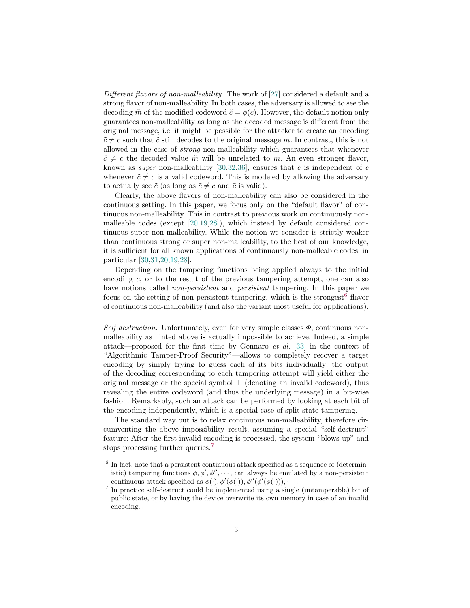Different flavors of non-malleability. The work of [\[27\]](#page-29-0) considered a default and a strong flavor of non-malleability. In both cases, the adversary is allowed to see the decoding  $\tilde{m}$  of the modified codeword  $\tilde{c} = \phi(c)$ . However, the default notion only guarantees non-malleability as long as the decoded message is different from the original message, i.e. it might be possible for the attacker to create an encoding  $\tilde{c} \neq c$  such that  $\tilde{c}$  still decodes to the original message m. In contrast, this is not allowed in the case of strong non-malleability which guarantees that whenever  $\tilde{c} \neq c$  the decoded value  $\tilde{m}$  will be unrelated to m. An even stronger flavor, known as *super* non-malleability [\[30](#page-29-4)[,32,](#page-29-6)[36\]](#page-29-7), ensures that  $\tilde{c}$  is independent of c whenever  $\tilde{c} \neq c$  is a valid codeword. This is modeled by allowing the adversary to actually see  $\tilde{c}$  (as long as  $\tilde{c} \neq c$  and  $\tilde{c}$  is valid).

Clearly, the above flavors of non-malleability can also be considered in the continuous setting. In this paper, we focus only on the "default flavor" of continuous non-malleability. This in contrast to previous work on continuously nonmalleable codes (except [\[20,](#page-28-8)[19](#page-28-9)[,28\]](#page-29-8)), which instead by default considered continuous super non-malleability. While the notion we consider is strictly weaker than continuous strong or super non-malleability, to the best of our knowledge, it is sufficient for all known applications of continuously non-malleable codes, in particular [\[30](#page-29-4)[,31](#page-29-5)[,20,](#page-28-8)[19,](#page-28-9)[28\]](#page-29-8).

Depending on the tampering functions being applied always to the initial encoding c, or to the result of the previous tampering attempt, one can also have notions called *non-persistent* and *persistent* tampering. In this paper we focus on the setting of non-persistent tampering, which is the strongest<sup>[6](#page-2-0)</sup> flavor of continuous non-malleability (and also the variant most useful for applications).

Self destruction. Unfortunately, even for very simple classes  $\Phi$ , continuous nonmalleability as hinted above is actually impossible to achieve. Indeed, a simple attack—proposed for the first time by Gennaro et al. [\[33\]](#page-29-9) in the context of "Algorithmic Tamper-Proof Security"—allows to completely recover a target encoding by simply trying to guess each of its bits individually: the output of the decoding corresponding to each tampering attempt will yield either the original message or the special symbol  $\perp$  (denoting an invalid codeword), thus revealing the entire codeword (and thus the underlying message) in a bit-wise fashion. Remarkably, such an attack can be performed by looking at each bit of the encoding independently, which is a special case of split-state tampering.

The standard way out is to relax continuous non-malleability, therefore circumventing the above impossibility result, assuming a special "self-destruct" feature: After the first invalid encoding is processed, the system "blows-up" and stops processing further queries.<sup>[7](#page-2-1)</sup>

<span id="page-2-0"></span> $6$  In fact, note that a persistent continuous attack specified as a sequence of (deterministic) tampering functions  $\phi$ ,  $\phi'$ ,  $\phi''$ ,  $\cdots$ , can always be emulated by a non-persistent continuous attack specified as  $\phi(\cdot), \phi'(\phi(\cdot)), \phi''(\phi'(\phi(\cdot))), \cdots$ .

<span id="page-2-1"></span><sup>7</sup> In practice self-destruct could be implemented using a single (untamperable) bit of public state, or by having the device overwrite its own memory in case of an invalid encoding.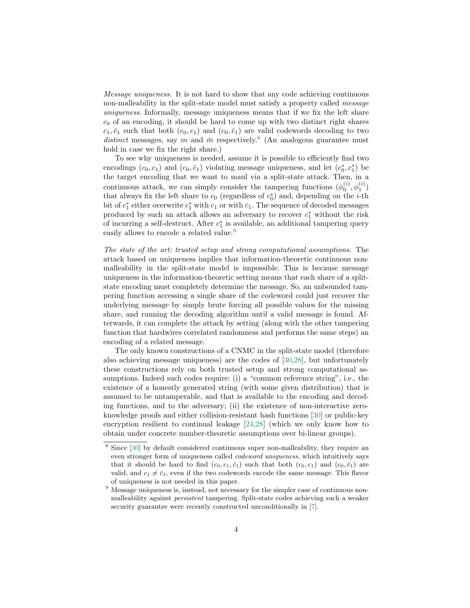Message uniqueness. It is not hard to show that any code achieving continuous non-malleability in the split-state model must satisfy a property called message uniqueness. Informally, message uniqueness means that if we fix the left share  $c_0$  of an encoding, it should be hard to come up with two distinct right shares  $c_1, \bar{c}_1$  such that both  $(c_0, c_1)$  and  $(c_0, \bar{c}_1)$  are valid codewords decoding to two distinct messages, say m and  $\bar{m}$  respectively.<sup>[8](#page-3-0)</sup> (An analogous guarantee must hold in case we fix the right share.)

To see why uniqueness is needed, assume it is possible to efficiently find two encodings  $(c_0, c_1)$  and  $(c_0, \bar{c}_1)$  violating message uniqueness, and let  $(c_0^*, c_1^*)$  be the target encoding that we want to maul via a split-state attack. Then, in a continuous attack, we can simply consider the tampering functions  $(\phi_0^{(i)}, \phi_1^{(i)})$ that always fix the left share to  $c_0$  (regardless of  $c_0^*$ ) and, depending on the *i*-th bit of  $c_1^*$  either overwrite  $c_1^*$  with  $c_1$  or with  $\bar{c}_1$ . The sequence of decoded messages produced by such an attack allows an adversary to recover  $c_1^*$  without the risk of incurring a self-destruct. After  $c_1^*$  is available, an additional tampering query easily allows to encode a related value.<sup>[9](#page-3-1)</sup>

The state of the art: trusted setup and strong computational assumptions. The attack based on uniqueness implies that information-theoretic continuous nonmalleability in the split-state model is impossible. This is because message uniqueness in the information-theoretic setting means that each share of a splitstate encoding must completely determine the message. So, an unbounded tampering function accessing a single share of the codeword could just recover the underlying message by simply brute forcing all possible values for the missing share, and running the decoding algorithm until a valid message is found. Afterwards, it can complete the attack by setting (along with the other tampering function that hardwires correlated randomness and performs the same steps) an encoding of a related message.

The only known constructions of a CNMC in the split-state model (therefore also achieving message uniqueness) are the codes of [\[30,](#page-29-4)[28\]](#page-29-8), but unfortunately these constructions rely on both trusted setup and strong computational assumptions. Indeed such codes require: (i) a "common reference string", i.e., the existence of a honestly generated string (with some given distribution) that is assumed to be untamperable, and that is available to the encoding and decoding functions, and to the adversary; (ii) the existence of non-interactive zeroknowledge proofs and either collision-resistant hash functions [\[30\]](#page-29-4) or public-key encryption resilient to continual leakage [\[24,](#page-29-10)[28\]](#page-29-8) (which we only know how to obtain under concrete number-theoretic assumptions over bi-linear groups).

<span id="page-3-0"></span><sup>8</sup> Since [\[30\]](#page-29-4) by default considered continuous super non-malleability, they require an even stronger form of uniqueness called codeword uniqueness, which intuitively says that it should be hard to find  $(c_0, c_1, \bar{c}_1)$  such that both  $(c_0, c_1)$  and  $(c_0, \bar{c}_1)$  are valid, and  $c_1 \neq \bar{c}_1$ , even if the two codewords encode the same message. This flavor of uniqueness is not needed in this paper.

<span id="page-3-1"></span><sup>&</sup>lt;sup>9</sup> Message uniqueness is, instead, not necessary for the simpler case of continuous nonmalleability against persistent tampering. Split-state codes achieving such a weaker security guarantee were recently constructed unconditionally in [\[7\]](#page-28-5).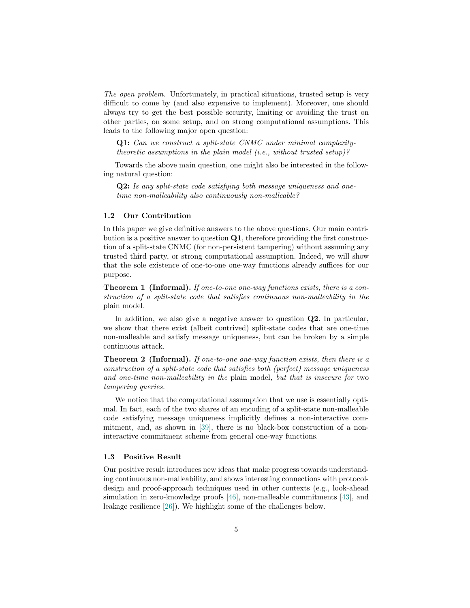The open problem. Unfortunately, in practical situations, trusted setup is very difficult to come by (and also expensive to implement). Moreover, one should always try to get the best possible security, limiting or avoiding the trust on other parties, on some setup, and on strong computational assumptions. This leads to the following major open question:

Q1: Can we construct a split-state CNMC under minimal complexitytheoretic assumptions in the plain model (i.e., without trusted setup)?

Towards the above main question, one might also be interested in the following natural question:

Q2: Is any split-state code satisfying both message uniqueness and onetime non-malleability also continuously non-malleable?

# 1.2 Our Contribution

In this paper we give definitive answers to the above questions. Our main contribution is a positive answer to question Q1, therefore providing the first construction of a split-state CNMC (for non-persistent tampering) without assuming any trusted third party, or strong computational assumption. Indeed, we will show that the sole existence of one-to-one one-way functions already suffices for our purpose.

<span id="page-4-0"></span>Theorem 1 (Informal). If one-to-one one-way functions exists, there is a construction of a split-state code that satisfies continuous non-malleability in the plain model.

In addition, we also give a negative answer to question Q2. In particular, we show that there exist (albeit contrived) split-state codes that are one-time non-malleable and satisfy message uniqueness, but can be broken by a simple continuous attack.

<span id="page-4-1"></span>Theorem 2 (Informal). If one-to-one one-way function exists, then there is a construction of a split-state code that satisfies both (perfect) message uniqueness and one-time non-malleability in the plain model, but that is insecure for two tampering queries.

We notice that the computational assumption that we use is essentially optimal. In fact, each of the two shares of an encoding of a split-state non-malleable code satisfying message uniqueness implicitly defines a non-interactive commitment, and, as shown in [\[39\]](#page-29-11), there is no black-box construction of a noninteractive commitment scheme from general one-way functions.

#### 1.3 Positive Result

Our positive result introduces new ideas that make progress towards understanding continuous non-malleability, and shows interesting connections with protocoldesign and proof-approach techniques used in other contexts (e.g., look-ahead simulation in zero-knowledge proofs [\[46\]](#page-29-12), non-malleable commitments [\[43\]](#page-29-13), and leakage resilience [\[26\]](#page-29-14)). We highlight some of the challenges below.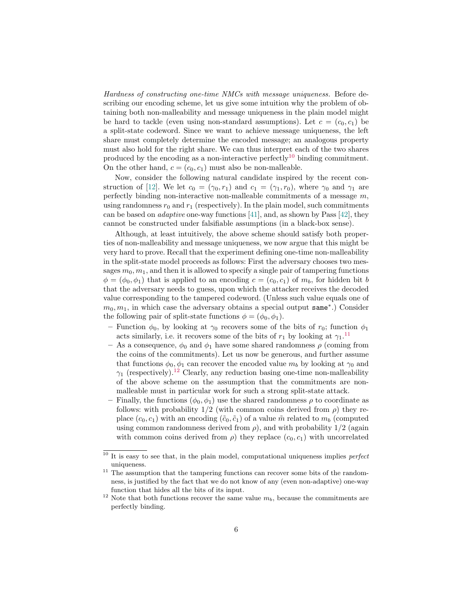Hardness of constructing one-time NMCs with message uniqueness. Before describing our encoding scheme, let us give some intuition why the problem of obtaining both non-malleability and message uniqueness in the plain model might be hard to tackle (even using non-standard assumptions). Let  $c = (c_0, c_1)$  be a split-state codeword. Since we want to achieve message uniqueness, the left share must completely determine the encoded message; an analogous property must also hold for the right share. We can thus interpret each of the two shares produced by the encoding as a non-interactive perfectly<sup>[10](#page-5-0)</sup> binding commitment. On the other hand,  $c = (c_0, c_1)$  must also be non-malleable.

Now, consider the following natural candidate inspired by the recent con-struction of [\[12\]](#page-28-10). We let  $c_0 = (\gamma_0, r_1)$  and  $c_1 = (\gamma_1, r_0)$ , where  $\gamma_0$  and  $\gamma_1$  are perfectly binding non-interactive non-malleable commitments of a message  $m$ , using randomness  $r_0$  and  $r_1$  (respectively). In the plain model, such commitments can be based on *adaptive* one-way functions [\[41\]](#page-29-15), and, as shown by Pass [\[42\]](#page-29-16), they cannot be constructed under falsifiable assumptions (in a black-box sense).

Although, at least intuitively, the above scheme should satisfy both properties of non-malleability and message uniqueness, we now argue that this might be very hard to prove. Recall that the experiment defining one-time non-malleability in the split-state model proceeds as follows: First the adversary chooses two messages  $m_0, m_1$ , and then it is allowed to specify a single pair of tampering functions  $\phi = (\phi_0, \phi_1)$  that is applied to an encoding  $c = (c_0, c_1)$  of  $m_b$ , for hidden bit b that the adversary needs to guess, upon which the attacker receives the decoded value corresponding to the tampered codeword. (Unless such value equals one of  $m_0, m_1$ , in which case the adversary obtains a special output same<sup>\*</sup>.) Consider the following pair of split-state functions  $\phi = (\phi_0, \phi_1)$ .

- Function  $\phi_0$ , by looking at  $\gamma_0$  recovers some of the bits of  $r_0$ ; function  $\phi_1$ acts similarly, i.e. it recovers some of the bits of  $r_1$  by looking at  $\gamma_1$ .<sup>[11](#page-5-1)</sup>
- As a consequence,  $\phi_0$  and  $\phi_1$  have some shared randomness  $\rho$  (coming from the coins of the commitments). Let us now be generous, and further assume that functions  $\phi_0$ ,  $\phi_1$  can recover the encoded value  $m_b$  by looking at  $\gamma_0$  and  $\gamma_1$  (respectively).<sup>[12](#page-5-2)</sup> Clearly, any reduction basing one-time non-malleability of the above scheme on the assumption that the commitments are nonmalleable must in particular work for such a strong split-state attack.
- Finally, the functions  $(\phi_0, \phi_1)$  use the shared randomness  $\rho$  to coordinate as follows: with probability  $1/2$  (with common coins derived from  $\rho$ ) they replace  $(c_0, c_1)$  with an encoding  $(\tilde{c}_0, \tilde{c}_1)$  of a value  $\tilde{m}$  related to  $m_b$  (computed using common randomness derived from  $\rho$ ), and with probability  $1/2$  (again with common coins derived from  $\rho$ ) they replace  $(c_0, c_1)$  with uncorrelated

<span id="page-5-0"></span> $10$  It is easy to see that, in the plain model, computational uniqueness implies *perfect* uniqueness.

<span id="page-5-1"></span><sup>&</sup>lt;sup>11</sup> The assumption that the tampering functions can recover some bits of the randomness, is justified by the fact that we do not know of any (even non-adaptive) one-way function that hides all the bits of its input.

<span id="page-5-2"></span><sup>&</sup>lt;sup>12</sup> Note that both functions recover the same value  $m_b$ , because the commitments are perfectly binding.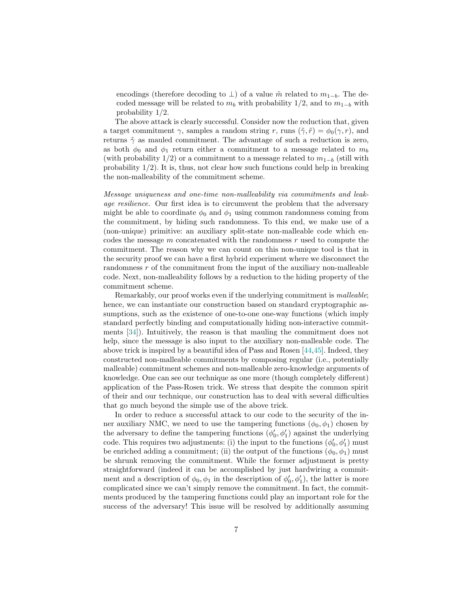encodings (therefore decoding to  $\perp$ ) of a value  $\tilde{m}$  related to  $m_{1-b}$ . The decoded message will be related to  $m_b$  with probability 1/2, and to  $m_{1-b}$  with probability 1/2.

The above attack is clearly successful. Consider now the reduction that, given a target commitment  $\gamma$ , samples a random string r, runs  $(\tilde{\gamma}, \tilde{r}) = \phi_0(\gamma, r)$ , and returns  $\tilde{\gamma}$  as mauled commitment. The advantage of such a reduction is zero, as both  $\phi_0$  and  $\phi_1$  return either a commitment to a message related to  $m_b$ (with probability  $1/2$ ) or a commitment to a message related to  $m_{1-b}$  (still with probability 1/2). It is, thus, not clear how such functions could help in breaking the non-malleability of the commitment scheme.

Message uniqueness and one-time non-malleability via commitments and leakage resilience. Our first idea is to circumvent the problem that the adversary might be able to coordinate  $\phi_0$  and  $\phi_1$  using common randomness coming from the commitment, by hiding such randomness. To this end, we make use of a (non-unique) primitive: an auxiliary split-state non-malleable code which encodes the message  $m$  concatenated with the randomness  $r$  used to compute the commitment. The reason why we can count on this non-unique tool is that in the security proof we can have a first hybrid experiment where we disconnect the randomness  $r$  of the commitment from the input of the auxiliary non-malleable code. Next, non-malleability follows by a reduction to the hiding property of the commitment scheme.

Remarkably, our proof works even if the underlying commitment is *malleable*; hence, we can instantiate our construction based on standard cryptographic assumptions, such as the existence of one-to-one one-way functions (which imply standard perfectly binding and computationally hiding non-interactive commitments [\[34\]](#page-29-17)). Intuitively, the reason is that mauling the commitment does not help, since the message is also input to the auxiliary non-malleable code. The above trick is inspired by a beautiful idea of Pass and Rosen [\[44,](#page-29-18)[45\]](#page-29-19). Indeed, they constructed non-malleable commitments by composing regular (i.e., potentially malleable) commitment schemes and non-malleable zero-knowledge arguments of knowledge. One can see our technique as one more (though completely different) application of the Pass-Rosen trick. We stress that despite the common spirit of their and our technique, our construction has to deal with several difficulties that go much beyond the simple use of the above trick.

In order to reduce a successful attack to our code to the security of the inner auxiliary NMC, we need to use the tampering functions  $(\phi_0, \phi_1)$  chosen by the adversary to define the tampering functions  $(\phi'_0, \phi'_1)$  against the underlying code. This requires two adjustments: (i) the input to the functions  $(\phi'_0, \phi'_1)$  must be enriched adding a commitment; (ii) the output of the functions  $(\phi_0, \phi_1)$  must be shrunk removing the commitment. While the former adjustment is pretty straightforward (indeed it can be accomplished by just hardwiring a commitment and a description of  $\phi_0, \phi_1$  in the description of  $\phi'_0, \phi'_1$ , the latter is more complicated since we can't simply remove the commitment. In fact, the commitments produced by the tampering functions could play an important role for the success of the adversary! This issue will be resolved by additionally assuming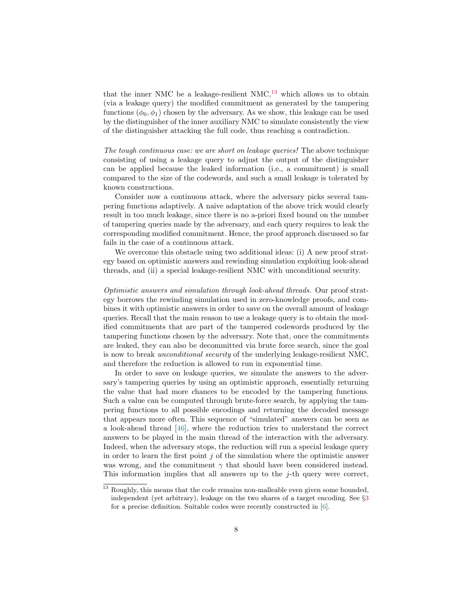that the inner NMC be a leakage-resilient NMC, $^{13}$  $^{13}$  $^{13}$  which allows us to obtain (via a leakage query) the modified commitment as generated by the tampering functions  $(\phi_0, \phi_1)$  chosen by the adversary. As we show, this leakage can be used by the distinguisher of the inner auxiliary NMC to simulate consistently the view of the distinguisher attacking the full code, thus reaching a contradiction.

The tough continuous case: we are short on leakage queries! The above technique consisting of using a leakage query to adjust the output of the distinguisher can be applied because the leaked information (i.e., a commitment) is small compared to the size of the codewords, and such a small leakage is tolerated by known constructions.

Consider now a continuous attack, where the adversary picks several tampering functions adaptively. A naive adaptation of the above trick would clearly result in too much leakage, since there is no a-priori fixed bound on the number of tampering queries made by the adversary, and each query requires to leak the corresponding modified commitment. Hence, the proof approach discussed so far fails in the case of a continuous attack.

We overcome this obstacle using two additional ideas: (i) A new proof strategy based on optimistic answers and rewinding simulation exploiting look-ahead threads, and (ii) a special leakage-resilient NMC with unconditional security.

Optimistic answers and simulation through look-ahead threads. Our proof strategy borrows the rewinding simulation used in zero-knowledge proofs, and combines it with optimistic answers in order to save on the overall amount of leakage queries. Recall that the main reason to use a leakage query is to obtain the modified commitments that are part of the tampered codewords produced by the tampering functions chosen by the adversary. Note that, once the commitments are leaked, they can also be decommitted via brute force search, since the goal is now to break unconditional security of the underlying leakage-resilient NMC, and therefore the reduction is allowed to run in exponential time.

In order to save on leakage queries, we simulate the answers to the adversary's tampering queries by using an optimistic approach, essentially returning the value that had more chances to be encoded by the tampering functions. Such a value can be computed through brute-force search, by applying the tampering functions to all possible encodings and returning the decoded message that appears more often. This sequence of "simulated" answers can be seen as a look-ahead thread [\[46\]](#page-29-12), where the reduction tries to understand the correct answers to be played in the main thread of the interaction with the adversary. Indeed, when the adversary stops, the reduction will run a special leakage query in order to learn the first point  $j$  of the simulation where the optimistic answer was wrong, and the commitment  $\gamma$  that should have been considered instead. This information implies that all answers up to the  $i$ -th query were correct,

<span id="page-7-0"></span><sup>&</sup>lt;sup>13</sup> Roughly, this means that the code remains non-malleable even given some bounded, independent (yet arbitrary), leakage on the two shares of a target encoding. See §[3](#page-15-0) for a precise definition. Suitable codes were recently constructed in [\[6\]](#page-28-2).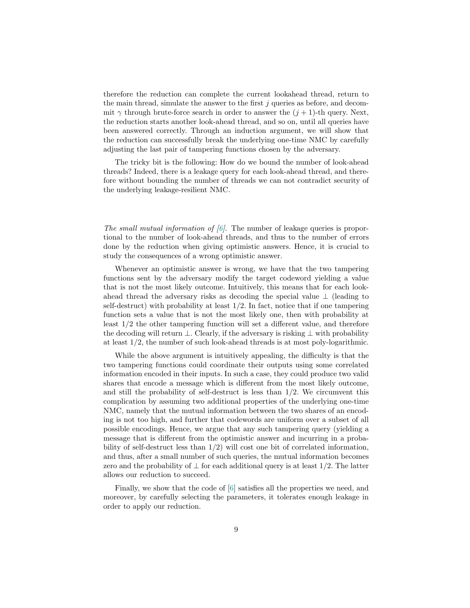therefore the reduction can complete the current lookahead thread, return to the main thread, simulate the answer to the first j queries as before, and decommit  $\gamma$  through brute-force search in order to answer the  $(j + 1)$ -th query. Next, the reduction starts another look-ahead thread, and so on, until all queries have been answered correctly. Through an induction argument, we will show that the reduction can successfully break the underlying one-time NMC by carefully adjusting the last pair of tampering functions chosen by the adversary.

The tricky bit is the following: How do we bound the number of look-ahead threads? Indeed, there is a leakage query for each look-ahead thread, and therefore without bounding the number of threads we can not contradict security of the underlying leakage-resilient NMC.

The small mutual information of  $(6)$ . The number of leakage queries is proportional to the number of look-ahead threads, and thus to the number of errors done by the reduction when giving optimistic answers. Hence, it is crucial to study the consequences of a wrong optimistic answer.

Whenever an optimistic answer is wrong, we have that the two tampering functions sent by the adversary modify the target codeword yielding a value that is not the most likely outcome. Intuitively, this means that for each lookahead thread the adversary risks as decoding the special value  $\perp$  (leading to self-destruct) with probability at least  $1/2$ . In fact, notice that if one tampering function sets a value that is not the most likely one, then with probability at least 1/2 the other tampering function will set a different value, and therefore the decoding will return ⊥. Clearly, if the adversary is risking ⊥ with probability at least 1/2, the number of such look-ahead threads is at most poly-logarithmic.

While the above argument is intuitively appealing, the difficulty is that the two tampering functions could coordinate their outputs using some correlated information encoded in their inputs. In such a case, they could produce two valid shares that encode a message which is different from the most likely outcome, and still the probability of self-destruct is less than  $1/2$ . We circumvent this complication by assuming two additional properties of the underlying one-time NMC, namely that the mutual information between the two shares of an encoding is not too high, and further that codewords are uniform over a subset of all possible encodings. Hence, we argue that any such tampering query (yielding a message that is different from the optimistic answer and incurring in a probability of self-destruct less than 1/2) will cost one bit of correlated information, and thus, after a small number of such queries, the mutual information becomes zero and the probability of  $\perp$  for each additional query is at least 1/2. The latter allows our reduction to succeed.

Finally, we show that the code of [\[6\]](#page-28-2) satisfies all the properties we need, and moreover, by carefully selecting the parameters, it tolerates enough leakage in order to apply our reduction.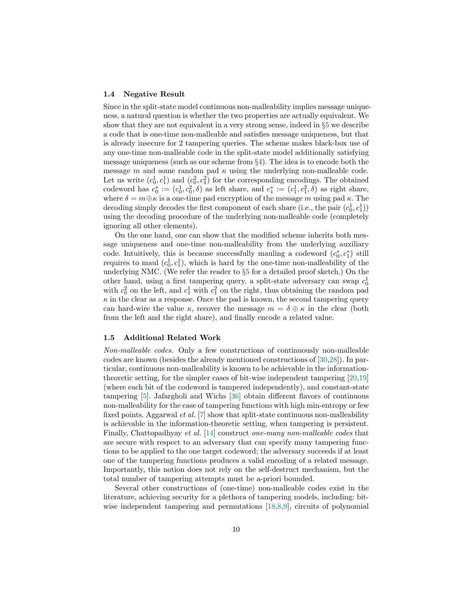#### 1.4 Negative Result

Since in the split-state model continuous non-malleability implies message uniqueness, a natural question is whether the two properties are actually equivalent. We show that they are not equivalent in a very strong sense, indeed in §[5](#page-25-0) we describe a code that is one-time non-malleable and satisfies message uniqueness, but that is already insecure for 2 tampering queries. The scheme makes black-box use of any one-time non-malleable code in the split-state model additionally satisfying message uniqueness (such as our scheme from §[4\)](#page-19-0). The idea is to encode both the message m and some random pad  $\kappa$  using the underlying non-malleable code. Let us write  $(c_0^1, c_1^1)$  and  $(c_0^2, c_1^2)$  for the corresponding encodings. The obtained codeword has  $c_0^* := (c_0^1, c_0^2, \delta)$  as left share, and  $c_1^* := (c_1^1, c_1^2, \delta)$  as right share, where  $\delta = m \oplus \kappa$  is a one-time pad encryption of the message m using pad  $\kappa$ . The decoding simply decodes the first component of each share (i.e., the pair  $(c_0^1, c_1^1)$ ) using the decoding procedure of the underlying non-malleable code (completely ignoring all other elements).

On the one hand, one can show that the modified scheme inherits both message uniqueness and one-time non-malleability from the underlying auxiliary code. Intuitively, this is because successfully mauling a codeword  $(c_0^*, c_1^*)$  still requires to maul  $(c_0^1, c_1^1)$ , which is hard by the one-time non-malleability of the underlying NMC. (We refer the reader to §[5](#page-25-0) for a detailed proof sketch.) On the other hand, using a first tampering query, a split-state adversary can swap  $c_0^1$ with  $c_0^2$  on the left, and  $c_1^1$  with  $c_1^2$  on the right, thus obtaining the random pad  $\kappa$  in the clear as a response. Once the pad is known, the second tampering query can hard-wire the value  $\kappa$ , recover the message  $m = \delta \oplus \kappa$  in the clear (both from the left and the right share), and finally encode a related value.

## <span id="page-9-0"></span>1.5 Additional Related Work

Non-malleable codes. Only a few constructions of continuously non-malleable codes are known (besides the already mentioned constructions of [\[30,](#page-29-4)[28\]](#page-29-8)). In particular, continuous non-malleability is known to be achievable in the informationtheoretic setting, for the simpler cases of bit-wise independent tampering [\[20,](#page-28-8)[19\]](#page-28-9) (where each bit of the codeword is tampered independently), and constant-state tampering [\[5\]](#page-28-11). Jafargholi and Wichs [\[36\]](#page-29-7) obtain different flavors of continuous non-malleability for the case of tampering functions with high min-entropy or few fixed points. Aggarwal et al. [\[7\]](#page-28-5) show that split-state continuous non-malleability is achievable in the information-theoretic setting, when tampering is persistent. Finally, Chattopadhyay et al. [\[14\]](#page-28-12) construct one-many non-malleable codes that are secure with respect to an adversary that can specify many tampering functions to be applied to the one target codeword; the adversary succeeds if at least one of the tampering functions produces a valid encoding of a related message. Importantly, this notion does not rely on the self-destruct mechanism, but the total number of tampering attempts must be a-priori bounded.

Several other constructions of (one-time) non-malleable codes exist in the literature, achieving security for a plethora of tampering models, including: bit-wise independent tampering and permutations [\[18,](#page-28-1)[8,](#page-28-13)[9\]](#page-28-14), circuits of polynomial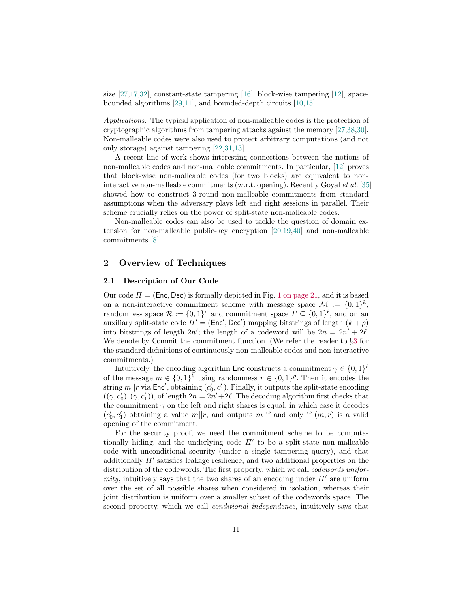size [\[27,](#page-29-0)[17](#page-28-15)[,32\]](#page-29-6), constant-state tampering [\[16\]](#page-28-16), block-wise tampering [\[12\]](#page-28-10), spacebounded algorithms [\[29,](#page-29-20)[11\]](#page-28-17), and bounded-depth circuits [\[10,](#page-28-18)[15\]](#page-28-19).

Applications. The typical application of non-malleable codes is the protection of cryptographic algorithms from tampering attacks against the memory [\[27,](#page-29-0)[38,](#page-29-3)[30\]](#page-29-4). Non-malleable codes were also used to protect arbitrary computations (and not only storage) against tampering [\[22,](#page-28-6)[31,](#page-29-5)[13\]](#page-28-4).

A recent line of work shows interesting connections between the notions of non-malleable codes and non-malleable commitments. In particular, [\[12\]](#page-28-10) proves that block-wise non-malleable codes (for two blocks) are equivalent to noninteractive non-malleable commitments (w.r.t. opening). Recently Goyal et al. [\[35\]](#page-29-21) showed how to construct 3-round non-malleable commitments from standard assumptions when the adversary plays left and right sessions in parallel. Their scheme crucially relies on the power of split-state non-malleable codes.

Non-malleable codes can also be used to tackle the question of domain extension for non-malleable public-key encryption [\[20,](#page-28-8)[19,](#page-28-9)[40\]](#page-29-22) and non-malleable commitments [\[8\]](#page-28-13).

## 2 Overview of Techniques

## 2.1 Description of Our Code

Our code  $\Pi = (Enc, Dec)$  is formally depicted in Fig. [1 on page 21,](#page-20-0) and it is based on a non-interactive commitment scheme with message space  $\mathcal{M} := \{0,1\}^k$ , randomness space  $\mathcal{R} := \{0,1\}^{\rho}$  and commitment space  $\Gamma \subseteq \{0,1\}^{\ell}$ , and on an auxiliary split-state code  $\Pi' = (\text{Enc}', \text{Dec}')$  mapping bitstrings of length  $(k + \rho)$ into bitstrings of length  $2n'$ ; the length of a codeword will be  $2n = 2n' + 2\ell$ . We denote by Commit the commitment function. (We refer the reader to §[3](#page-15-0) for the standard definitions of continuously non-malleable codes and non-interactive commitments.)

Intuitively, the encoding algorithm Enc constructs a commitment  $\gamma \in \{0,1\}^{\ell}$ of the message  $m \in \{0,1\}^k$  using randomness  $r \in \{0,1\}^{\rho}$ . Then it encodes the string  $m||r$  via Enc', obtaining  $(c'_0, c'_1)$ . Finally, it outputs the split-state encoding  $((\gamma, c'_0), (\gamma, c'_1))$ , of length  $2n = 2n' + 2\ell$ . The decoding algorithm first checks that the commitment  $\gamma$  on the left and right shares is equal, in which case it decodes  $(c'_0, c'_1)$  obtaining a value  $m||r$ , and outputs m if and only if  $(m, r)$  is a valid opening of the commitment.

For the security proof, we need the commitment scheme to be computationally hiding, and the underlying code  $\Pi'$  to be a split-state non-malleable code with unconditional security (under a single tampering query), and that additionally  $\Pi'$  satisfies leakage resilience, and two additional properties on the distribution of the codewords. The first property, which we call *codewords unifor*mity, intuitively says that the two shares of an encoding under  $\Pi'$  are uniform over the set of all possible shares when considered in isolation, whereas their joint distribution is uniform over a smaller subset of the codewords space. The second property, which we call conditional independence, intuitively says that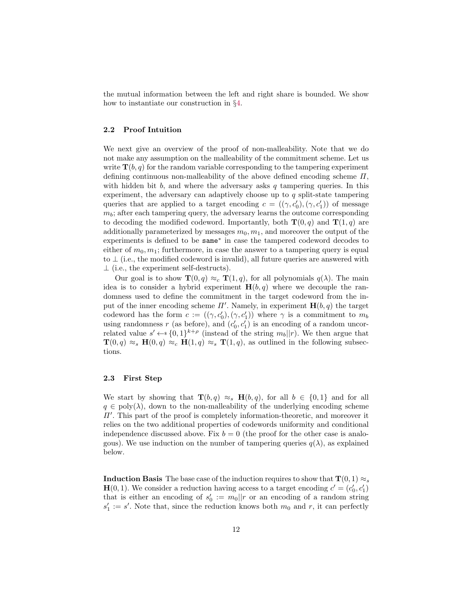the mutual information between the left and right share is bounded. We show how to instantiate our construction in §[4.](#page-19-0)

## 2.2 Proof Intuition

We next give an overview of the proof of non-malleability. Note that we do not make any assumption on the malleability of the commitment scheme. Let us write  $\mathbf{T}(b, q)$  for the random variable corresponding to the tampering experiment defining continuous non-malleability of the above defined encoding scheme  $\Pi$ , with hidden bit  $b$ , and where the adversary asks  $q$  tampering queries. In this experiment, the adversary can adaptively choose up to  $q$  split-state tampering queries that are applied to a target encoding  $c = ((\gamma, c'_0), (\gamma, c'_1))$  of message  $m_b$ ; after each tampering query, the adversary learns the outcome corresponding to decoding the modified codeword. Importantly, both  $\mathbf{T}(0, q)$  and  $\mathbf{T}(1, q)$  are additionally parameterized by messages  $m_0, m_1$ , and moreover the output of the experiments is defined to be same<sup>∗</sup> in case the tampered codeword decodes to either of  $m_0, m_1$ ; furthermore, in case the answer to a tampering query is equal to  $\perp$  (i.e., the modified codeword is invalid), all future queries are answered with  $\perp$  (i.e., the experiment self-destructs).

Our goal is to show  $\mathbf{T}(0, q) \approx_c \mathbf{T}(1, q)$ , for all polynomials  $q(\lambda)$ . The main idea is to consider a hybrid experiment  $H(b,q)$  where we decouple the randomness used to define the commitment in the target codeword from the input of the inner encoding scheme  $\Pi'$ . Namely, in experiment  $\mathbf{H}(b, q)$  the target codeword has the form  $c := ((\gamma, c'_0), (\gamma, c'_1))$  where  $\gamma$  is a commitment to  $m_b$ using randomness r (as before), and  $(c'_0, c'_1)$  is an encoding of a random uncorrelated value  $s' \leftarrow \{0,1\}^{k+\rho}$  (instead of the string  $m_b||r$ ). We then argue that  $\mathbf{T}(0, q) \approx_s \mathbf{H}(0, q) \approx_c \mathbf{H}(1, q) \approx_s \mathbf{T}(1, q)$ , as outlined in the following subsections.

## 2.3 First Step

We start by showing that  $\mathbf{T}(b,q) \approx_s \mathbf{H}(b,q)$ , for all  $b \in \{0,1\}$  and for all  $q \in \text{poly}(\lambda)$ , down to the non-malleability of the underlying encoding scheme  $\Pi'$ . This part of the proof is completely information-theoretic, and moreover it relies on the two additional properties of codewords uniformity and conditional independence discussed above. Fix  $b = 0$  (the proof for the other case is analogous). We use induction on the number of tampering queries  $q(\lambda)$ , as explained below.

**Induction Basis** The base case of the induction requires to show that  $\mathbf{T}(0, 1) \approx_s$  $\mathbf{H}(0, 1)$ . We consider a reduction having access to a target encoding  $c' = (c'_0, c'_1)$ that is either an encoding of  $s'_0 := m_0 || r$  or an encoding of a random string  $s_1' := s'$ . Note that, since the reduction knows both  $m_0$  and r, it can perfectly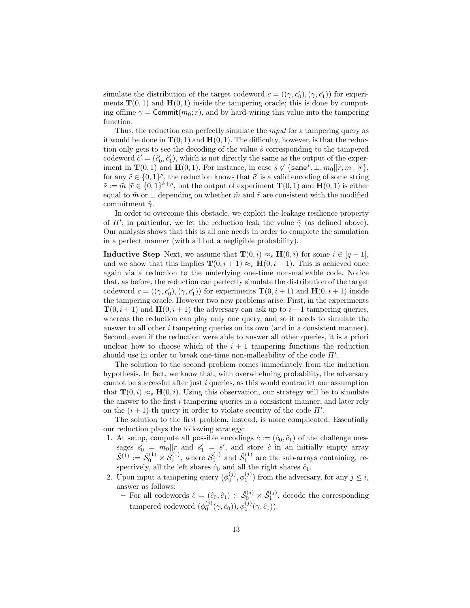simulate the distribution of the target codeword  $c = ((\gamma, c'_0), (\gamma, c'_1))$  for experiments  $\mathbf{T}(0,1)$  and  $\mathbf{H}(0,1)$  inside the tampering oracle; this is done by computing offline  $\gamma = \text{Commit}(m_0; r)$ , and by hard-wiring this value into the tampering function.

Thus, the reduction can perfectly simulate the input for a tampering query as it would be done in  $\mathbf{T}(0,1)$  and  $\mathbf{H}(0,1)$ . The difficulty, however, is that the reduction only gets to see the decoding of the value  $\tilde{s}$  corresponding to the tampered codeword  $\tilde{c}' = (\tilde{c}'_0, \tilde{c}'_1)$ , which is not directly the same as the output of the experiment in  $\mathbf{T}(0,1)$  and  $\mathbf{H}(0,1)$ . For instance, in case  $\tilde{s} \notin \{\texttt{same}^*, \perp, m_0 || \tilde{r}, m_1 || \tilde{r}\},\$ for any  $\tilde{r} \in \{0,1\}^{\rho}$ , the reduction knows that  $\tilde{c}'$  is a valid encoding of some string  $\tilde{s} := \tilde{m} || \tilde{r} \in \{0,1\}^{k+\rho}$ , but the output of experiment  $\mathbf{T}(0,1)$  and  $\mathbf{H}(0,1)$  is either equal to  $\tilde{m}$  or  $\perp$  depending on whether  $\tilde{m}$  and  $\tilde{r}$  are consistent with the modified commitment  $\tilde{\gamma}$ .

In order to overcome this obstacle, we exploit the leakage resilience property of  $\Pi'$ ; in particular, we let the reduction leak the value  $\tilde{\gamma}$  (as defined above). Our analysis shows that this is all one needs in order to complete the simulation in a perfect manner (with all but a negligible probability).

**Inductive Step** Next, we assume that  $\mathbf{T}(0, i) \approx_{s} \mathbf{H}(0, i)$  for some  $i \in [q - 1]$ , and we show that this implies  $\mathbf{T}(0, i + 1) \approx_s \mathbf{H}(0, i + 1)$ . This is achieved once again via a reduction to the underlying one-time non-malleable code. Notice that, as before, the reduction can perfectly simulate the distribution of the target codeword  $c = ((\gamma, c'_0), (\gamma, c'_1))$  for experiments  $\mathbf{T}(0, i + 1)$  and  $\mathbf{H}(0, i + 1)$  inside the tampering oracle. However two new problems arise. First, in the experiments  $\mathbf{T}(0, i+1)$  and  $\mathbf{H}(0, i+1)$  the adversary can ask up to  $i+1$  tampering queries, whereas the reduction can play only one query, and so it needs to simulate the answer to all other  $i$  tampering queries on its own (and in a consistent manner). Second, even if the reduction were able to answer all other queries, it is a priori unclear how to choose which of the  $i + 1$  tampering functions the reduction should use in order to break one-time non-malleability of the code  $\Pi'$ .

The solution to the second problem comes immediately from the induction hypothesis. In fact, we know that, with overwhelming probability, the adversary cannot be successful after just  $i$  queries, as this would contradict our assumption that  $\mathbf{T}(0, i) \approx_{s} \mathbf{H}(0, i)$ . Using this observation, our strategy will be to simulate the answer to the first  $i$  tampering queries in a consistent manner, and later rely on the  $(i + 1)$ -th query in order to violate security of the code  $\Pi'$ .

The solution to the first problem, instead, is more complicated. Essentially our reduction plays the following strategy:

- 1. At setup, compute all possible encodings  $\hat{c} := (\hat{c}_0, \hat{c}_1)$  of the challenge messages  $s'_0 = m_0 ||r$  and  $s'_1 = s'$ , and store  $\hat{c}$  in an initially empty array  $\hat{S}^{(1)} := \hat{S}_0^{(1)} \times \hat{S}_1^{(1)}$ , where  $\hat{S}_0^{(1)}$  and  $\hat{S}_1^{(1)}$  are the sub-arrays containing, respectively, all the left shares  $\hat{c}_0$  and all the right shares  $\hat{c}_1$ .
- <span id="page-12-0"></span>2. Upon input a tampering query  $(\phi_0^{(j)}, \phi_1^{(j)})$  from the adversary, for any  $j \leq i$ , answer as follows:
	- − For all codewords  $\hat{c} = (\hat{c}_0, \hat{c}_1) \in \hat{\mathcal{S}}_0^{(j)} \times \hat{\mathcal{S}}_1^{(j)}$ , decode the corresponding tampered codeword  $(\phi_0^{(j)}(\gamma, \hat{c}_0)), \phi_1^{(j)}(\gamma, \hat{c}_1)$ .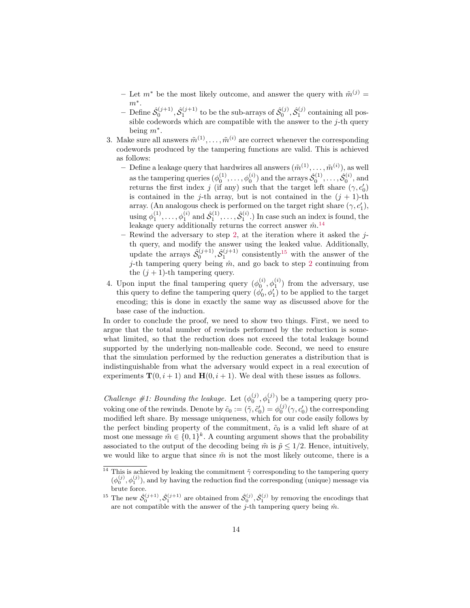- Let  $m^*$  be the most likely outcome, and answer the query with  $\tilde{m}^{(j)} =$  $m^*$ .
- $-$  Define  $\hat{\mathcal{S}}_0^{(j+1)}, \hat{\mathcal{S}}_1^{(j+1)}$  to be the sub-arrays of  $\hat{\mathcal{S}}_0^{(j)}, \hat{\mathcal{S}}_1^{(j)}$  containing all possible codewords which are compatible with the answer to the  $j$ -th query being  $m^*$ .
- 3. Make sure all answers  $\tilde{m}^{(1)}, \ldots, \tilde{m}^{(i)}$  are correct whenever the corresponding codewords produced by the tampering functions are valid. This is achieved as follows:
	- Define a leakage query that hardwires all answers  $(\tilde{m}^{(1)}, \ldots, \tilde{m}^{(i)}),$  as well as the tampering queries  $(\phi_0^{(1)}, \ldots, \phi_0^{(i)})$  and the arrays  $\hat{\mathcal{S}}_0^{(1)}, \ldots, \hat{\mathcal{S}}_0^{(i)}$ , and returns the first index j (if any) such that the target left share  $(\gamma, c'_0)$ is contained in the j-th array, but is not contained in the  $(j + 1)$ -th array. (An analogous check is performed on the target right share  $(\gamma, c_1')$ , using  $\phi_1^{(1)}, \ldots, \phi_1^{(i)}$  and  $\hat{\mathcal{S}}_1^{(1)}, \ldots, \hat{\mathcal{S}}_1^{(i)}$ .) In case such an index is found, the leakage query additionally returns the correct answer  $\hat{m}$ .<sup>[14](#page-13-0)</sup>
	- Rewind the adversary to step [2,](#page-12-0) at the iteration where it asked the  $j$ th query, and modify the answer using the leaked value. Additionally, update the arrays  $\hat{\mathcal{S}}_0^{(j+1)}, \hat{\mathcal{S}}_1^{(j+1)}$  consistently<sup>[15](#page-13-1)</sup> with the answer of the j-th tampering query being  $\hat{m}$ , and go back to step [2](#page-12-0) continuing from the  $(j + 1)$ -th tampering query.
- 4. Upon input the final tampering query  $(\phi_0^{(i)}, \phi_1^{(i)})$  from the adversary, use this query to define the tampering query  $(\phi'_0, \phi'_1)$  to be applied to the target encoding; this is done in exactly the same way as discussed above for the base case of the induction.

In order to conclude the proof, we need to show two things. First, we need to argue that the total number of rewinds performed by the reduction is somewhat limited, so that the reduction does not exceed the total leakage bound supported by the underlying non-malleable code. Second, we need to ensure that the simulation performed by the reduction generates a distribution that is indistinguishable from what the adversary would expect in a real execution of experiments  $\mathbf{T}(0, i + 1)$  and  $\mathbf{H}(0, i + 1)$ . We deal with these issues as follows.

*Challenge* #1: Bounding the leakage. Let  $(\phi_0^{(j)}, \phi_1^{(j)})$  be a tampering query provoking one of the rewinds. Denote by  $\tilde{c}_0 := (\tilde{\gamma}, \tilde{c}'_0) = \phi_0^{(j)}(\gamma, c'_0)$  the corresponding modified left share. By message uniqueness, which for our code easily follows by the perfect binding property of the commitment,  $\tilde{c}_0$  is a valid left share of at most one message  $\tilde{m} \in \{0,1\}^k$ . A counting argument shows that the probability associated to the output of the decoding being  $\tilde{m}$  is  $\tilde{p} \leq 1/2$ . Hence, intuitively, we would like to argue that since  $\tilde{m}$  is not the most likely outcome, there is a

<span id="page-13-0"></span><sup>&</sup>lt;sup>14</sup> This is achieved by leaking the commitment  $\tilde{\gamma}$  corresponding to the tampering query  $(\phi_0^{(j)}, \phi_1^{(j)})$ , and by having the reduction find the corresponding (unique) message via brute force.

<span id="page-13-1"></span><sup>&</sup>lt;sup>15</sup> The new  $\hat{S}_0^{(j+1)}, \hat{S}_1^{(j+1)}$  are obtained from  $\hat{S}_0^{(j)}, \hat{S}_1^{(j)}$  by removing the encodings that are not compatible with the answer of the j-th tampering query being  $\hat{m}$ .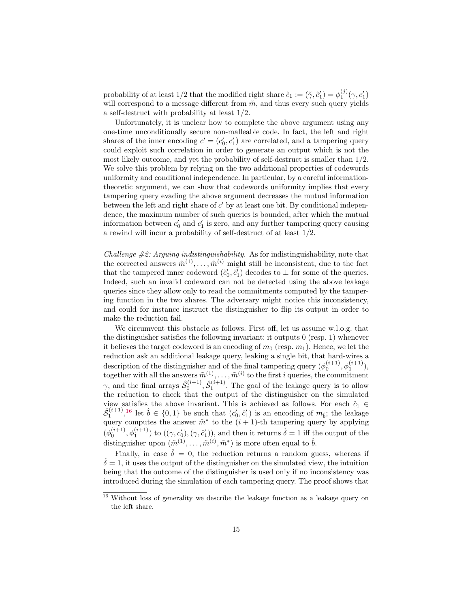probability of at least 1/2 that the modified right share  $\tilde{c}_1 := (\tilde{\gamma}, \tilde{c}'_1) = \phi_1^{(j)}(\gamma, c'_1)$ will correspond to a message different from  $\tilde{m}$ , and thus every such query yields a self-destruct with probability at least 1/2.

Unfortunately, it is unclear how to complete the above argument using any one-time unconditionally secure non-malleable code. In fact, the left and right shares of the inner encoding  $c' = (c'_0, c'_1)$  are correlated, and a tampering query could exploit such correlation in order to generate an output which is not the most likely outcome, and yet the probability of self-destruct is smaller than 1/2. We solve this problem by relying on the two additional properties of codewords uniformity and conditional independence. In particular, by a careful informationtheoretic argument, we can show that codewords uniformity implies that every tampering query evading the above argument decreases the mutual information between the left and right share of  $c'$  by at least one bit. By conditional independence, the maximum number of such queries is bounded, after which the mutual information between  $c'_0$  and  $c'_1$  is zero, and any further tampering query causing a rewind will incur a probability of self-destruct of at least 1/2.

Challenge  $\#\mathcal{Z}$ : Arguing indistinguishability. As for indistinguishability, note that the corrected answers  $\tilde{m}^{(1)}, \ldots, \tilde{m}^{(i)}$  might still be inconsistent, due to the fact that the tampered inner codeword  $(\tilde{c}'_0, \tilde{c}'_1)$  decodes to  $\perp$  for some of the queries. Indeed, such an invalid codeword can not be detected using the above leakage queries since they allow only to read the commitments computed by the tampering function in the two shares. The adversary might notice this inconsistency, and could for instance instruct the distinguisher to flip its output in order to make the reduction fail.

We circumvent this obstacle as follows. First off, let us assume w.l.o.g. that the distinguisher satisfies the following invariant: it outputs 0 (resp. 1) whenever it believes the target codeword is an encoding of  $m_0$  (resp.  $m_1$ ). Hence, we let the reduction ask an additional leakage query, leaking a single bit, that hard-wires a description of the distinguisher and of the final tampering query  $(\phi_0^{(i+1)}, \phi_1^{(i+1)})$ , together with all the answers  $\tilde{m}^{(1)}, \ldots, \tilde{m}^{(i)}$  to the first i queries, the commitment  $\gamma$ , and the final arrays  $\hat{\mathcal{S}}_0^{(i+1)}$ ,  $\hat{\mathcal{S}}_1^{(i+1)}$ . The goal of the leakage query is to allow the reduction to check that the output of the distinguisher on the simulated view satisfies the above invariant. This is achieved as follows. For each  $\hat{c}_1 \in$  $\hat{S}_1^{(i+1)},$ <sup>[16](#page-14-0)</sup> let  $\hat{b} \in \{0,1\}$  be such that  $(c'_0, \hat{c}'_1)$  is an encoding of  $m_{\hat{b}}$ ; the leakage query computes the answer  $\tilde{m}^*$  to the  $(i + 1)$ -th tampering query by applying  $(\phi_0^{(i+1)}, \phi_1^{(i+1)})$  to  $((\gamma, c'_0), (\gamma, c'_1))$ , and then it returns  $\hat{\delta} = 1$  iff the output of the distinguisher upon  $(\tilde{m}^{(1)}, \ldots, \tilde{m}^{(i)}, \tilde{m}^*)$  is more often equal to  $\hat{b}$ .

Finally, in case  $\hat{\delta} = 0$ , the reduction returns a random guess, whereas if  $\delta = 1$ , it uses the output of the distinguisher on the simulated view, the intuition being that the outcome of the distinguisher is used only if no inconsistency was introduced during the simulation of each tampering query. The proof shows that

<span id="page-14-0"></span><sup>&</sup>lt;sup>16</sup> Without loss of generality we describe the leakage function as a leakage query on the left share.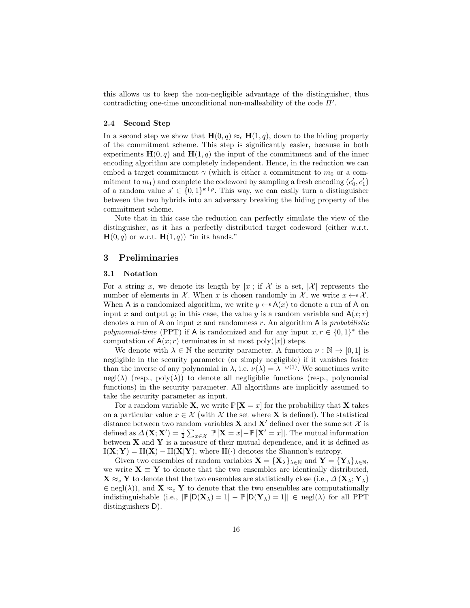this allows us to keep the non-negligible advantage of the distinguisher, thus contradicting one-time unconditional non-malleability of the code  $\Pi'$ .

#### 2.4 Second Step

In a second step we show that  $\mathbf{H}(0, q) \approx_c \mathbf{H}(1, q)$ , down to the hiding property of the commitment scheme. This step is significantly easier, because in both experiments  $\mathbf{H}(0, q)$  and  $\mathbf{H}(1, q)$  the input of the commitment and of the inner encoding algorithm are completely independent. Hence, in the reduction we can embed a target commitment  $\gamma$  (which is either a commitment to  $m_0$  or a commitment to  $m_1$ ) and complete the codeword by sampling a fresh encoding  $(c'_0, c'_1)$ of a random value  $s' \in \{0,1\}^{k+\rho}$ . This way, we can easily turn a distinguisher between the two hybrids into an adversary breaking the hiding property of the commitment scheme.

Note that in this case the reduction can perfectly simulate the view of the distinguisher, as it has a perfectly distributed target codeword (either w.r.t.  $H(0, q)$  or w.r.t.  $H(1, q)$  "in its hands."

## <span id="page-15-0"></span>3 Preliminaries

## 3.1 Notation

For a string x, we denote its length by |x|; if X is a set, |X| represents the number of elements in X. When x is chosen randomly in X, we write  $x \leftarrow^* X$ . When A is a randomized algorithm, we write  $y \leftarrow A(x)$  to denote a run of A on input x and output y; in this case, the value y is a random variable and  $A(x; r)$ denotes a run of A on input  $x$  and randomness  $r$ . An algorithm A is *probabilistic* polynomial-time (PPT) if A is randomized and for any input  $x, r \in \{0, 1\}^*$  the computation of  $A(x; r)$  terminates in at most poly $(|x|)$  steps.

We denote with  $\lambda \in \mathbb{N}$  the security parameter. A function  $\nu : \mathbb{N} \to [0,1]$  is negligible in the security parameter (or simply negligible) if it vanishes faster than the inverse of any polynomial in  $\lambda$ , i.e.  $\nu(\lambda) = \lambda^{-\omega(1)}$ . We sometimes write  $negl(\lambda)$  (resp., poly $(\lambda)$ ) to denote all negligiblic functions (resp., polynomial functions) in the security parameter. All algorithms are implicitly assumed to take the security parameter as input.

For a random variable **X**, we write  $\mathbb{P}[\mathbf{X} = x]$  for the probability that **X** takes on a particular value  $x \in \mathcal{X}$  (with  $\mathcal{X}$  the set where **X** is defined). The statistical distance between two random variables **X** and **X**' defined over the same set  $\mathcal{X}$  is defined as  $\Delta(\mathbf{X}; \mathbf{X}') = \frac{1}{2} \sum_{x \in \mathcal{X}} |\mathbb{P}[\mathbf{X} = x] - \mathbb{P}[\mathbf{X}' = x]|$ . The mutual information between  $X$  and  $Y$  is a measure of their mutual dependence, and it is defined as  $\mathbb{I}(\mathbf{X}; \mathbf{Y}) = \mathbb{H}(\mathbf{X}) - \mathbb{H}(\mathbf{X}|\mathbf{Y})$ , where  $\mathbb{H}(\cdot)$  denotes the Shannon's entropy.

Given two ensembles of random variables  $\mathbf{X} = {\mathbf{X}_{\lambda}}_{\lambda \in \mathbb{N}}$  and  $\mathbf{Y} = {\mathbf{Y}_{\lambda}}_{\lambda \in \mathbb{N}}$ , we write  $X \equiv Y$  to denote that the two ensembles are identically distributed,  $\mathbf{X} \approx_s \mathbf{Y}$  to denote that the two ensembles are statistically close (i.e.,  $\Delta(\mathbf{X}_\lambda; \mathbf{Y}_\lambda)$ )  $\in$  negl( $\lambda$ )), and  $\mathbf{X} \approx_c \mathbf{Y}$  to denote that the two ensembles are computationally indistinguishable (i.e.,  $\mathbb{P}[D(\mathbf{X}_{\lambda})=1]-\mathbb{P}[D(\mathbf{Y}_{\lambda})=1] \in \text{negl}(\lambda)$  for all PPT distinguishers D).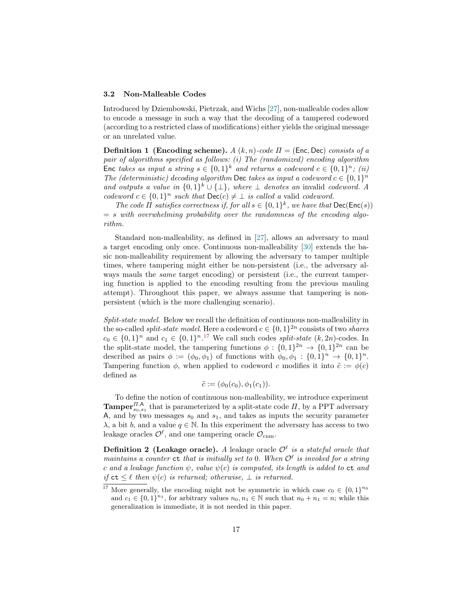#### <span id="page-16-1"></span>3.2 Non-Malleable Codes

Introduced by Dziembowski, Pietrzak, and Wichs [\[27\]](#page-29-0), non-malleable codes allow to encode a message in such a way that the decoding of a tampered codeword (according to a restricted class of modifications) either yields the original message or an unrelated value.

**Definition 1** (Encoding scheme). A  $(k, n)$ -code  $\Pi =$  (Enc. Dec) consists of a pair of algorithms specified as follows: (i) The (randomized) encoding algorithm Enc takes as input a string  $s \in \{0,1\}^k$  and returns a codeword  $c \in \{0,1\}^n$ ; (ii) The (deterministic) decoding algorithm Dec takes as input a codeword  $c \in \{0,1\}^n$ and outputs a value in  $\{0,1\}^k \cup \{\perp\}$ , where  $\perp$  denotes an invalid codeword. A codeword  $c \in \{0,1\}^n$  such that  $\mathsf{Dec}(c) \neq \bot$  is called a valid codeword.

The code  $\Pi$  satisfies correctness if, for all  $s \in \{0,1\}^k$ , we have that  $\mathsf{Dec}(\mathsf{Enc}(s))$  $= s$  with overwhelming probability over the randomness of the encoding algorithm.

Standard non-malleability, as defined in [\[27\]](#page-29-0), allows an adversary to maul a target encoding only once. Continuous non-malleability [\[30\]](#page-29-4) extends the basic non-malleability requirement by allowing the adversary to tamper multiple times, where tampering might either be non-persistent (i.e., the adversary always mauls the *same* target encoding) or persistent (i.e., the current tampering function is applied to the encoding resulting from the previous mauling attempt). Throughout this paper, we always assume that tampering is nonpersistent (which is the more challenging scenario).

Split-state model. Below we recall the definition of continuous non-malleability in the so-called *split-state model*. Here a codeword  $c \in \{0,1\}^{2n}$  consists of two *shares*  $c_0 \in \{0,1\}^n$  and  $c_1 \in \{0,1\}^n$ .<sup>[17](#page-16-0)</sup> We call such codes *split-state*  $(k, 2n)$ -codes. In the split-state model, the tampering functions  $\phi: \{0,1\}^{2n} \to \{0,1\}^{2n}$  can be described as pairs  $\phi := (\phi_0, \phi_1)$  of functions with  $\phi_0, \phi_1 : \{0, 1\}^n \to \{0, 1\}^n$ . Tampering function  $\phi$ , when applied to codeword c modifies it into  $\tilde{c} := \phi(c)$ defined as

$$
\tilde{c} := (\phi_0(c_0), \phi_1(c_1)).
$$

To define the notion of continuous non-malleability, we introduce experiment **Tamper**<sup> $\prod_{s_0, s_1}$  that is parameterized by a split-state code  $\Pi$ , by a PPT adversary</sup> A, and by two messages  $s_0$  and  $s_1$ , and takes as inputs the security parameter  $\lambda$ , a bit b, and a value  $q \in \mathbb{N}$ . In this experiment the adversary has access to two leakage oracles  $\mathcal{O}^{\ell}$ , and one tampering oracle  $\mathcal{O}_{\text{cnm}}$ .

**Definition 2 (Leakage oracle).** A leakage oracle  $\mathcal{O}^{\ell}$  is a stateful oracle that maintains a counter  $ct$  that is initially set to 0. When  $\mathcal{O}^{\ell}$  is invoked for a string c and a leakage function  $\psi$ , value  $\psi(c)$  is computed, its length is added to  $ct$  and if  $ct \leq \ell$  then  $\psi(c)$  is returned; otherwise,  $\bot$  is returned.

<span id="page-16-0"></span><sup>&</sup>lt;sup>17</sup> More generally, the encoding might not be symmetric in which case  $c_0 \in \{0,1\}^{n_0}$ and  $c_1 \in \{0,1\}^{n_1}$ , for arbitrary values  $n_0, n_1 \in \mathbb{N}$  such that  $n_0 + n_1 = n$ ; while this generalization is immediate, it is not needed in this paper.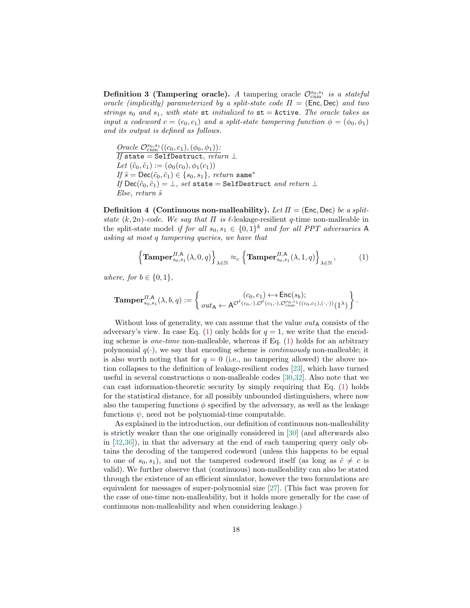**Definition 3 (Tampering oracle).** A tampering oracle  $\mathcal{O}^{s_0,s_1}_{\text{cnm}}$  is a stateful oracle (implicitly) parameterized by a split-state code  $\Pi = (\text{Enc}, \text{Dec})$  and two strings  $s_0$  and  $s_1$ , with state st initialized to  $st =$  Active. The oracle takes as input a codeword  $c = (c_0, c_1)$  and a split-state tampering function  $\phi = (\phi_0, \phi_1)$ and its output is defined as follows.

Oracle  $\mathcal{O}^{s_0,s_1}_{\text{cnm}}((c_0,c_1),(\phi_0,\phi_1))$ :  $\overline{\mathit{If}}$  state = Self<code>Destruct</code>, re $\overline{\mathit{turn}} \perp$ Let  $(\tilde{c}_0, \tilde{c}_1) := (\phi_0(c_0), \phi_1(c_1))$ If  $\tilde{s} = \textsf{Dec}(\tilde{c}_0, \tilde{c}_1) \in \{s_0, s_1\}$ , return same\* If  $\mathsf{Dec}(\tilde{c}_0,\tilde{c}_1)=\bot$ , set state = SelfDestruct and return  $\bot$  $Else, return \tilde{s}$ 

<span id="page-17-1"></span>**Definition 4 (Continuous non-malleability).** Let  $\Pi = (\text{Enc}, \text{Dec})$  be a splitstate  $(k, 2n)$ -code. We say that  $\Pi$  is  $\ell$ -leakage-resilient q-time non-malleable in the split-state model if for all  $s_0, s_1 \in \{0,1\}^k$  and for all PPT adversaries A asking at most q tampering queries, we have that

<span id="page-17-0"></span>
$$
\left\{\mathbf{Tamper}_{s_0,s_1}^{H,\mathsf{A}}(\lambda,0,q)\right\}_{\lambda\in\mathbb{N}}\approx_c\left\{\mathbf{Tamper}_{s_0,s_1}^{H,\mathsf{A}}(\lambda,1,q)\right\}_{\lambda\in\mathbb{N}},\tag{1}
$$

where, for  $b \in \{0, 1\}$ ,

$$
\mathbf{Tamper}_{s_0,s_1}^{II,\mathsf{A}}(\lambda,b,q):=\left\{\begin{matrix}(c_0,c_1)\mathop{\leftrightarrow}\limits_{\mathsf{s}}\mathsf{Enc}(s_b);\\out_\mathsf{A}\mathop{\leftarrow}\limits_{\mathsf{A}}\mathcal{O}^{\ell}(c_0,\cdot),\mathcal{O}^{\ell}(c_1,\cdot),\mathcal{O}^{s_0,s_1}_{\text{cnm}}((c_0,c_1),(\cdot,\cdot))}(1^\lambda)\end{matrix}\right\}.
$$

Without loss of generality, we can assume that the value  $out_A$  consists of the adversary's view. In case Eq. [\(1\)](#page-17-0) only holds for  $q = 1$ , we write that the encoding scheme is one-time non-malleable, whereas if Eq. [\(1\)](#page-17-0) holds for an arbitrary polynomial  $q(\cdot)$ , we say that encoding scheme is *continuously* non-malleable; it is also worth noting that for  $q = 0$  (i.e., no tampering allowed) the above notion collapses to the definition of leakage-resilient codes [\[23\]](#page-28-20), which have turned useful in several constructions o non-malleable codes [\[30,](#page-29-4)[32\]](#page-29-6). Also note that we can cast information-theoretic security by simply requiring that Eq. [\(1\)](#page-17-0) holds for the statistical distance, for all possibly unbounded distinguishers, where now also the tampering functions  $\phi$  specified by the adversary, as well as the leakage functions  $\psi$ , need not be polynomial-time computable.

As explained in the introduction, our definition of continuous non-malleability is strictly weaker than the one originally considered in [\[30\]](#page-29-4) (and afterwards also in [\[32,](#page-29-6)[36\]](#page-29-7)), in that the adversary at the end of each tampering query only obtains the decoding of the tampered codeword (unless this happens to be equal to one of  $s_0, s_1$ , and not the tampered codeword itself (as long as  $\tilde{c} \neq c$  is valid). We further observe that (continuous) non-malleability can also be stated through the existence of an efficient simulator, however the two formulations are equivalent for messages of super-polynomial size [\[27\]](#page-29-0). (This fact was proven for the case of one-time non-malleability, but it holds more generally for the case of continuous non-malleability and when considering leakage.)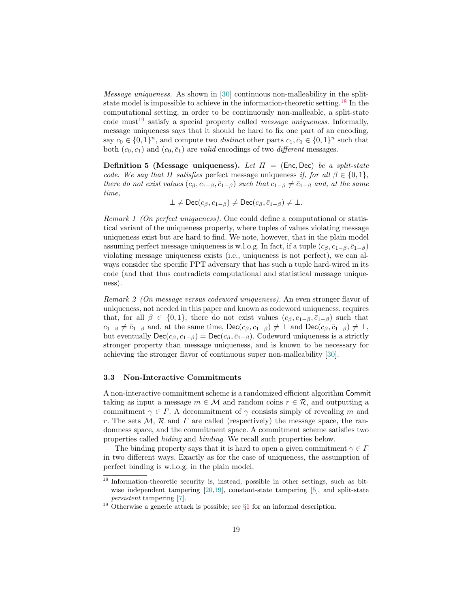Message uniqueness. As shown in [\[30\]](#page-29-4) continuous non-malleability in the splitstate model is impossible to achieve in the information-theoretic setting.[18](#page-18-0) In the computational setting, in order to be continuously non-malleable, a split-state code must<sup>[19](#page-18-1)</sup> satisfy a special property called *message uniqueness*. Informally, message uniqueness says that it should be hard to fix one part of an encoding, say  $c_0 \in \{0,1\}^n$ , and compute two *distinct* other parts  $c_1, \bar{c}_1 \in \{0,1\}^n$  such that both  $(c_0, c_1)$  and  $(c_0, \bar{c}_1)$  are valid encodings of two different messages.

**Definition 5** (Message uniqueness). Let  $\Pi$  = (Enc, Dec) be a split-state code. We say that  $\Pi$  satisfies perfect message uniqueness if, for all  $\beta \in \{0,1\}$ , there do not exist values  $(c_{\beta}, c_{1-\beta}, \bar{c}_{1-\beta})$  such that  $c_{1-\beta} \neq \bar{c}_{1-\beta}$  and, at the same time,

$$
\bot \neq \mathsf{Dec}(c_{\beta}, c_{1-\beta}) \neq \mathsf{Dec}(c_{\beta}, \bar{c}_{1-\beta}) \neq \bot.
$$

Remark 1 (On perfect uniqueness). One could define a computational or statistical variant of the uniqueness property, where tuples of values violating message uniqueness exist but are hard to find. We note, however, that in the plain model assuming perfect message uniqueness is w.l.o.g. In fact, if a tuple  $(c<sub>β</sub>, c<sub>1−β</sub>, \bar{c}<sub>1−β</sub>)$ violating message uniqueness exists (i.e., uniqueness is not perfect), we can always consider the specific PPT adversary that has such a tuple hard-wired in its code (and that thus contradicts computational and statistical message uniqueness).

Remark 2 (On message versus codeword uniqueness). An even stronger flavor of uniqueness, not needed in this paper and known as codeword uniqueness, requires that, for all  $\beta \in \{0,1\}$ , there do not exist values  $(c_{\beta}, c_{1-\beta}, \bar{c}_{1-\beta})$  such that  $c_{1-\beta} \neq \bar{c}_{1-\beta}$  and, at the same time,  $\text{Dec}(c_{\beta}, c_{1-\beta}) \neq \bot$  and  $\text{Dec}(c_{\beta}, \bar{c}_{1-\beta}) \neq \bot$ , but eventually  $\text{Dec}(c_{\beta}, c_{1-\beta}) = \text{Dec}(c_{\beta}, \bar{c}_{1-\beta})$ . Codeword uniqueness is a strictly stronger property than message uniqueness, and is known to be necessary for achieving the stronger flavor of continuous super non-malleability [\[30\]](#page-29-4).

#### <span id="page-18-2"></span>3.3 Non-Interactive Commitments

A non-interactive commitment scheme is a randomized efficient algorithm Commit taking as input a message  $m \in \mathcal{M}$  and random coins  $r \in \mathcal{R}$ , and outputting a commitment  $\gamma \in \Gamma$ . A decommitment of  $\gamma$  consists simply of revealing m and r. The sets  $\mathcal{M}, \mathcal{R}$  and  $\Gamma$  are called (respectively) the message space, the randomness space, and the commitment space. A commitment scheme satisfies two properties called hiding and binding. We recall such properties below.

The binding property says that it is hard to open a given commitment  $\gamma \in \Gamma$ in two different ways. Exactly as for the case of uniqueness, the assumption of perfect binding is w.l.o.g. in the plain model.

<span id="page-18-0"></span> $\frac{18}{18}$  Information-theoretic security is, instead, possible in other settings, such as bit-wise independent tampering [\[20](#page-28-8)[,19\]](#page-28-9), constant-state tampering [\[5\]](#page-28-11), and split-state persistent tampering [\[7\]](#page-28-5).

<span id="page-18-1"></span><sup>&</sup>lt;sup>[1](#page-1-1)9</sup> Otherwise a generic attack is possible; see  $\S1$  for an informal description.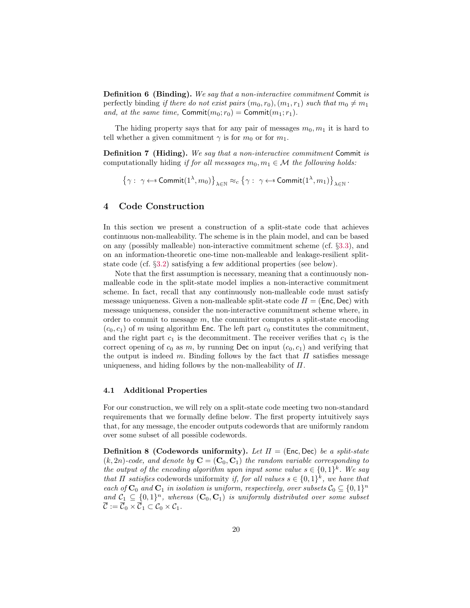Definition 6 (Binding). We say that a non-interactive commitment Commit is perfectly binding if there do not exist pairs  $(m_0, r_0), (m_1, r_1)$  such that  $m_0 \neq m_1$ and, at the same time, Commit $(m_0; r_0)$  = Commit $(m_1; r_1)$ .

The hiding property says that for any pair of messages  $m_0, m_1$  it is hard to tell whether a given commitment  $\gamma$  is for  $m_0$  or for  $m_1$ .

**Definition 7 (Hiding).** We say that a non-interactive commitment Commit is computationally hiding if for all messages  $m_0, m_1 \in \mathcal{M}$  the following holds:

$$
\left\{\gamma: \ \gamma \leftarrow \text{SCommit}(1^\lambda, m_0)\right\}_{\lambda \in \mathbb{N}} \approx_c \left\{\gamma: \ \gamma \leftarrow \text{SCommit}(1^\lambda, m_1)\right\}_{\lambda \in \mathbb{N}}.
$$

# <span id="page-19-0"></span>4 Code Construction

In this section we present a construction of a split-state code that achieves continuous non-malleability. The scheme is in the plain model, and can be based on any (possibly malleable) non-interactive commitment scheme (cf. §[3.3\)](#page-18-2), and on an information-theoretic one-time non-malleable and leakage-resilient splitstate code (cf. §[3.2\)](#page-16-1) satisfying a few additional properties (see below).

Note that the first assumption is necessary, meaning that a continuously nonmalleable code in the split-state model implies a non-interactive commitment scheme. In fact, recall that any continuously non-malleable code must satisfy message uniqueness. Given a non-malleable split-state code  $\Pi = (Enc, Dec)$  with message uniqueness, consider the non-interactive commitment scheme where, in order to commit to message  $m$ , the committer computes a split-state encoding  $(c_0, c_1)$  of m using algorithm Enc. The left part  $c_0$  constitutes the commitment, and the right part  $c_1$  is the decommitment. The receiver verifies that  $c_1$  is the correct opening of  $c_0$  as m, by running Dec on input  $(c_0, c_1)$  and verifying that the output is indeed m. Binding follows by the fact that  $\Pi$  satisfies message uniqueness, and hiding follows by the non-malleability of  $\Pi$ .

#### 4.1 Additional Properties

For our construction, we will rely on a split-state code meeting two non-standard requirements that we formally define below. The first property intuitively says that, for any message, the encoder outputs codewords that are uniformly random over some subset of all possible codewords.

**Definition 8 (Codewords uniformity).** Let  $\Pi = (\text{Enc}, \text{Dec})$  be a split-state  $(k, 2n)$ -code, and denote by  $C = (C_0, C_1)$  the random variable corresponding to the output of the encoding algorithm upon input some value  $s \in \{0,1\}^k$ . We say that  $\Pi$  satisfies codewords uniformity if, for all values  $s \in \{0,1\}^k$ , we have that each of  $C_0$  and  $C_1$  in isolation is uniform, respectively, over subsets  $C_0 \subseteq \{0,1\}^n$ and  $C_1 \subseteq \{0,1\}^n$ , whereas  $(C_0, C_1)$  is uniformly distributed over some subset  $\overline{\mathcal{C}}:=\overline{\mathcal{C}}_0\times\overline{\mathcal{C}}_1\subset\mathcal{C}_0\times\mathcal{C}_1.$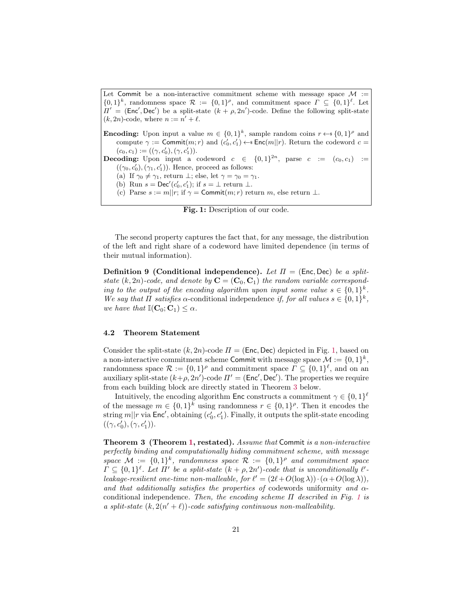<span id="page-20-0"></span>Let Commit be a non-interactive commitment scheme with message space  $\mathcal{M}$  :=  ${0,1}^k$ , randomness space  $\mathcal{R} := \{0,1\}^{\rho}$ , and commitment space  $\Gamma \subseteq \{0,1\}^{\ell}$ . Let  $\Pi' = (Enc', Dec')$  be a split-state  $(k + \rho, 2n')$ -code. Define the following split-state  $(k, 2n)$ -code, where  $n := n' + \ell$ .

**Encoding:** Upon input a value  $m \in \{0,1\}^k$ , sample random coins  $r \leftarrow \{0,1\}^{\rho}$  and compute  $\gamma := \text{Commit}(m; r)$  and  $(c'_0, c'_1) \leftarrow \text{Enc}(m||r)$ . Return the codeword  $c =$  $(c_0, c_1) := ((\gamma, c'_0), (\gamma, c'_1)).$ **Decoding:** Upon input a codeword  $c \in \{0,1\}^{2n}$ , parse  $c := (c_0, c_1) :=$  $((\gamma_0, c'_0), (\gamma_1, c'_1))$ . Hence, proceed as follows: (a) If  $\gamma_0 \neq \gamma_1$ , return  $\bot$ ; else, let  $\gamma = \gamma_0 = \gamma_1$ . (b) Run  $s = \text{Dec}'(c'_0, c'_1)$ ; if  $s = \perp$  return  $\perp$ . (c) Parse  $s := m||r$ ; if  $\gamma = \text{Commit}(m; r)$  return m, else return  $\bot$ .

Fig. 1: Description of our code.

The second property captures the fact that, for any message, the distribution of the left and right share of a codeword have limited dependence (in terms of their mutual information).

**Definition 9 (Conditional independence).** Let  $\Pi = (\text{Enc, Dec})$  be a splitstate  $(k, 2n)$ -code, and denote by  $\mathbf{C} = (\mathbf{C}_0, \mathbf{C}_1)$  the random variable corresponding to the output of the encoding algorithm upon input some value  $s \in \{0,1\}^k$ . We say that  $\Pi$  satisfies  $\alpha$ -conditional independence if, for all values  $s \in \{0,1\}^k$ , we have that  $\mathbb{I}(\mathbf{C}_0;\mathbf{C}_1) \leq \alpha$ .

#### 4.2 Theorem Statement

Consider the split-state  $(k, 2n)$ -code  $\Pi = (Enc, Dec)$  depicted in Fig. [1,](#page-20-0) based on a non-interactive commitment scheme Commit with message space  $\mathcal{M} := \{0,1\}^k$ , randomness space  $\mathcal{R} := \{0,1\}^{\rho}$  and commitment space  $\Gamma \subseteq \{0,1\}^{\ell}$ , and on an auxiliary split-state  $(k+\rho, 2n')$ -code  $\Pi' = (\text{Enc}', \text{Dec}')$ . The properties we require from each building block are directly stated in Theorem [3](#page-20-1) below.

Intuitively, the encoding algorithm Enc constructs a commitment  $\gamma \in \{0,1\}^{\ell}$ of the message  $m \in \{0,1\}^k$  using randomness  $r \in \{0,1\}^{\rho}$ . Then it encodes the string  $m||r$  via Enc', obtaining  $(c'_0, c'_1)$ . Finally, it outputs the split-state encoding  $((\gamma, c'_0), (\gamma, c'_1)).$ 

<span id="page-20-1"></span>Theorem 3 (Theorem [1,](#page-4-0) restated). Assume that Commit is a non-interactive perfectly binding and computationally hiding commitment scheme, with message space  $\mathcal{M} := \{0,1\}^k$ , randomness space  $\mathcal{R} := \{0,1\}^{\rho}$  and commitment space  $\Gamma \subseteq \{0,1\}^{\ell}$ . Let  $\Pi'$  be a split-state  $(k+\rho,2n')$ -code that is unconditionally  $\ell'$ leakage-resilient one-time non-malleable, for  $\ell' = (2\ell + O(\log \lambda)) \cdot (\alpha + O(\log \lambda)),$ and that additionally satisfies the properties of codewords uniformity and  $\alpha$ conditional independence. Then, the encoding scheme  $\Pi$  described in Fig. [1](#page-20-0) is a split-state  $(k, 2(n'+\ell))$ -code satisfying continuous non-malleability.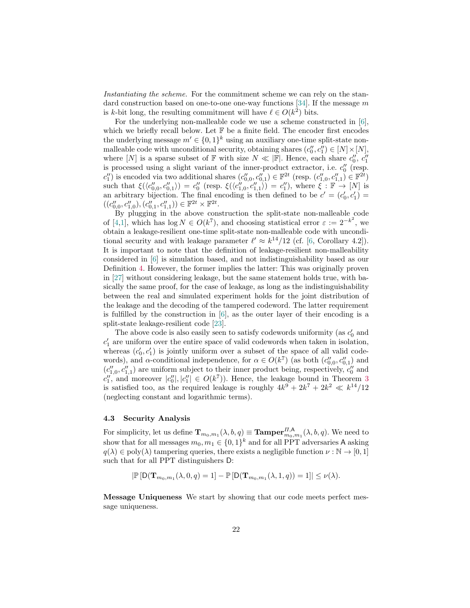Instantiating the scheme. For the commitment scheme we can rely on the stan-dard construction based on one-to-one one-way functions [\[34\]](#page-29-17). If the message  $m$ is k-bit long, the resulting commitment will have  $\ell \in O(k^2)$  bits.

For the underlying non-malleable code we use a scheme constructed in [\[6\]](#page-28-2), which we briefly recall below. Let  $\mathbb F$  be a finite field. The encoder first encodes the underlying message  $m' \in \{0,1\}^k$  using an auxiliary one-time split-state nonmalleable code with unconditional security, obtaining shares  $(c''_0, c''_1) \in [N] \times [N]$ , where [N] is a sparse subset of  $\mathbb F$  with size  $N \ll |\mathbb F|$ . Hence, each share  $c''_0$ ,  $c''_1$ is processed using a slight variant of the inner-product extractor, i.e.  $c_0''$  (resp.  $c''_1$ ) is encoded via two additional shares  $(c''_{0,0}, c''_{0,1}) \in \mathbb{F}^{2t}$  (resp.  $(c''_{1,0}, c''_{1,1}) \in \mathbb{F}^{2t}$ ) such that  $\xi(\langle c''_{0,0}, c''_{0,1}\rangle) = c''_0$  (resp.  $\xi(\langle c''_{1,0}, c''_{1,1}\rangle) = c''_1$ ), where  $\xi : \mathbb{F} \to [N]$  is an arbitrary bijection. The final encoding is then defined to be  $c' = (c'_0, c'_1)$  $((c''_{0,0},c''_{1,0}), (c''_{0,1},c''_{1,1})) \in \mathbb{F}^{2t} \times \mathbb{F}^{2t}.$ 

By plugging in the above construction the split-state non-malleable code of [\[4](#page-28-0)[,1\]](#page-27-0), which has  $\log N \in O(k^7)$ , and choosing statistical error  $\varepsilon := 2^{-k^2}$ , we obtain a leakage-resilient one-time split-state non-malleable code with unconditional security and with leakage parameter  $\ell' \approx k^{14}/12$  (cf. [\[6,](#page-28-2) Corollary 4.2]). It is important to note that the definition of leakage-resilient non-malleability considered in [\[6\]](#page-28-2) is simulation based, and not indistinguishability based as our Definition [4.](#page-17-1) However, the former implies the latter: This was originally proven in [\[27\]](#page-29-0) without considering leakage, but the same statement holds true, with basically the same proof, for the case of leakage, as long as the indistinguishability between the real and simulated experiment holds for the joint distribution of the leakage and the decoding of the tampered codeword. The latter requirement is fulfilled by the construction in [\[6\]](#page-28-2), as the outer layer of their encoding is a split-state leakage-resilient code [\[23\]](#page-28-20).

The above code is also easily seen to satisfy codewords uniformity (as  $c'_0$  and  $c'_1$  are uniform over the entire space of valid codewords when taken in isolation, whereas  $(c'_0, c'_1)$  is jointly uniform over a subset of the space of all valid codewords), and  $\alpha$ -conditional independence, for  $\alpha \in O(k^7)$  (as both  $(c''_{0,0}, c''_{0,1})$  and  $(c''_{1,0}, c''_{1,1})$  are uniform subject to their inner product being, respectively,  $c''_0$  and  $c''_1$ , and moreover  $|c''_0|, |c''_1| \in O(k^7)$ . Hence, the leakage bound in Theorem [3](#page-20-1) is satisfied too, as the required leakage is roughly  $4k^9 + 2k^7 + 2k^2 \ll k^{14}/12$ (neglecting constant and logarithmic terms).

## 4.3 Security Analysis

For simplicity, let us define  $\mathbf{T}_{m_0,m_1}(\lambda, b, q) \equiv \mathbf{Tamper}_{m_0,m_1}^{H,\mathsf{A}}(\lambda, b, q)$ . We need to show that for all messages  $m_0, m_1 \in \{0, 1\}^k$  and for all PPT adversaries A asking  $q(\lambda) \in \text{poly}(\lambda)$  tampering queries, there exists a negligible function  $\nu : \mathbb{N} \to [0, 1]$ such that for all PPT distinguishers D:

$$
|\mathbb{P}\left[\mathsf{D}(\mathbf{T}_{m_0,m_1}(\lambda,0,q)=1]-\mathbb{P}\left[\mathsf{D}(\mathbf{T}_{m_0,m_1}(\lambda,1,q))=1\right]\right|\leq\nu(\lambda).
$$

Message Uniqueness We start by showing that our code meets perfect message uniqueness.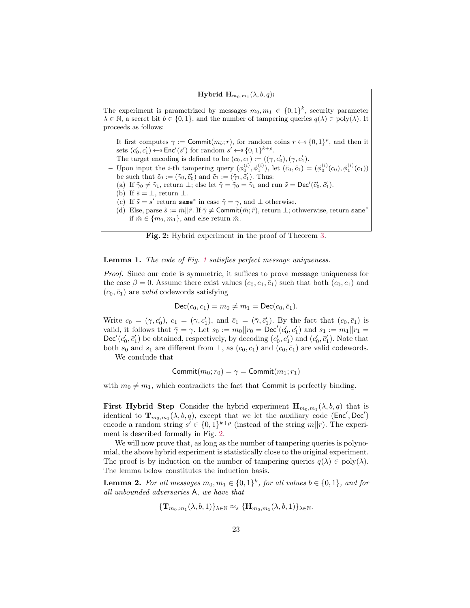## ${\rm \bf Hybrid\,\, H}_{m_0,m_1}(\lambda,b,q)$ :

<span id="page-22-0"></span>The experiment is parametrized by messages  $m_0, m_1 \in \{0,1\}^k$ , security parameter  $\lambda \in \mathbb{N}$ , a secret bit  $b \in \{0,1\}$ , and the number of tampering queries  $q(\lambda) \in \text{poly}(\lambda)$ . It proceeds as follows:

- It first computes  $\gamma := \text{Commit}(m_b; r)$ , for random coins  $r \leftarrow s \{0, 1\}^{\rho}$ , and then it sets  $(c'_0, c'_1) \leftarrow$  Enc'(s') for random  $s' \leftarrow \{0, 1\}^{k+\rho}$ .
- The target encoding is defined to be  $(c_0, c_1) := ((\gamma, c'_0), (\gamma, c'_1)$ .
- Upon input the *i*-th tampering query  $(\phi_0^{(i)}, \phi_1^{(i)})$ , let  $(\tilde{c}_0, \tilde{c}_1) = (\phi_0^{(i)}(c_0), \phi_1^{(i)}(c_1))$ be such that  $\tilde{c}_0 := (\tilde{\gamma}_0, \tilde{c}'_0)$  and  $\tilde{c}_1 := (\tilde{\gamma}_1, \tilde{c}'_1)$ . Thus:
	- (a) If  $\tilde{\gamma}_0 \neq \tilde{\gamma}_1$ , return  $\perp$ ; else let  $\tilde{\gamma} = \tilde{\gamma}_0 = \tilde{\gamma}_1$  and run  $\tilde{s} = \text{Dec}'(\tilde{c}'_0, \tilde{c}'_1)$ .
	- (b) If  $\tilde{s} = \perp$ , return  $\perp$ .
	- (c) If  $\tilde{s} = s'$  return same<sup>\*</sup> in case  $\tilde{\gamma} = \gamma$ , and  $\perp$  otherwise.
	- (d) Else, parse  $\tilde{s} := \tilde{m}||\tilde{r}$ . If  $\tilde{\gamma} \neq \text{Commit}(\tilde{m}; \tilde{r})$ , return  $\perp$ ; othwerwise, return same<sup>\*</sup> if  $\tilde{m} \in \{m_0, m_1\}$ , and else return  $\tilde{m}$ .



#### **Lemma [1](#page-20-0).** The code of Fig. 1 satisfies perfect message uniqueness.

Proof. Since our code is symmetric, it suffices to prove message uniqueness for the case  $\beta = 0$ . Assume there exist values  $(c_0, c_1, \bar{c}_1)$  such that both  $(c_0, c_1)$  and  $(c_0, \bar{c}_1)$  are valid codewords satisfying

$$
\mathsf{Dec}(c_0, c_1) = m_0 \neq m_1 = \mathsf{Dec}(c_0, \bar{c}_1).
$$

Write  $c_0 = (\gamma, c'_0)$ ,  $c_1 = (\gamma, c'_1)$ , and  $\bar{c}_1 = (\bar{\gamma}, \bar{c}'_1)$ . By the fact that  $(c_0, \bar{c}_1)$  is valid, it follows that  $\bar{\gamma} = \gamma$ . Let  $s_0 := m_0 || r_0 = \bar{\mathrm{Dec}}'(c'_0, c'_1)$  and  $s_1 := m_1 || r_1 =$  $\textsf{Dec}'(c'_0, \bar{c}'_1)$  be obtained, respectively, by decoding  $(c'_0, c'_1)$  and  $(c'_0, \bar{c}'_1)$ . Note that both  $s_0$  and  $s_1$  are different from  $\perp$ , as  $(c_0, c_1)$  and  $(c_0, \bar{c}_1)$  are valid codewords.

We conclude that

$$
\mathsf{Commit}(m_0;r_0)=\gamma=\mathsf{Commit}(m_1;r_1)
$$

with  $m_0 \neq m_1$ , which contradicts the fact that Commit is perfectly binding.

**First Hybrid Step** Consider the hybrid experiment  $\mathbf{H}_{m_0,m_1}(\lambda, b, q)$  that is identical to  $\mathbf{T}_{m_0,m_1}(\lambda, b, q)$ , except that we let the auxiliary code (Enc', Dec') encode a random string  $s' \in \{0,1\}^{k+\rho}$  (instead of the string  $m||r$ ). The experiment is described formally in Fig. [2.](#page-22-0)

We will now prove that, as long as the number of tampering queries is polynomial, the above hybrid experiment is statistically close to the original experiment. The proof is by induction on the number of tampering queries  $q(\lambda) \in \text{poly}(\lambda)$ . The lemma below constitutes the induction basis.

**Lemma 2.** For all messages  $m_0, m_1 \in \{0, 1\}^k$ , for all values  $b \in \{0, 1\}$ , and for all unbounded adversaries A, we have that

<span id="page-22-1"></span>
$$
{\{\mathbf{T}_{m_0,m_1}(\lambda,b,1)\}_{\lambda\in\mathbb{N}}\approx_s \{\mathbf{H}_{m_0,m_1}(\lambda,b,1)\}_{\lambda\in\mathbb{N}}}.
$$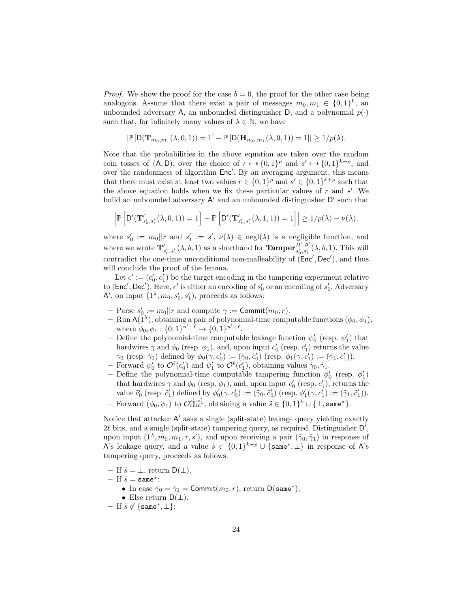*Proof.* We show the proof for the case  $b = 0$ , the proof for the other case being analogous. Assume that there exist a pair of messages  $m_0, m_1 \in \{0, 1\}^k$ , an unbounded adversary A, an unbounded distinguisher D, and a polynomial  $p(\cdot)$ such that, for infinitely many values of  $\lambda \in \mathbb{N}$ , we have

$$
|\mathbb{P}\left[\mathsf{D}(\mathbf{T}_{m_0,m_1}(\lambda,0,1))=1\right]-\mathbb{P}\left[\mathsf{D}(\mathbf{H}_{m_0,m_1}(\lambda,0,1))=1\right]| \geq 1/p(\lambda).
$$

Note that the probabilities in the above equation are taken over the random coin tosses of  $(A, D)$ , over the choice of  $r \leftarrow s \{0, 1\}^{\rho}$  and  $s' \leftarrow s \{0, 1\}^{k+\rho}$ , and over the randomness of algorithm  $Enc'$ . By an averaging argument, this means that there must exist at least two values  $r \in \{0,1\}^{\rho}$  and  $s' \in \{0,1\}^{k+\rho}$  such that the above equation holds when we fix these particular values of  $r$  and  $s'$ . We build an unbounded adversary  $A'$  and an unbounded distinguisher  $D'$  such that

$$
\left| \mathbb{P}\left[D'(\mathbf{T}_{s'_0,s'_1}'(\lambda,0,1)) = 1\right] - \mathbb{P}\left[D'(\mathbf{T}_{s'_0,s'_1}'(\lambda,1,1)) = 1\right] \right| \ge 1/p(\lambda) - \nu(\lambda),
$$

where  $s'_0 := m_0 || r$  and  $s'_1 := s'$ ,  $\nu(\lambda) \in negl(\lambda)$  is a negligible function, and where we wrote  $\mathbf{T}'_{s'_0, s'_1}(\lambda, b, 1)$  as a shorthand for  $\mathbf{Tamper}_{s'_0, s'_1}^{\vec{H}', \vec{A}'}$  $\sum_{s'_0,s'_1}^{H,A} (\lambda, b, 1)$ . This will contradict the one-time unconditional non-malleability of  $(Enc', Dec')$ , and thus will conclude the proof of the lemma.

Let  $c' := (c'_0, c'_1)$  be the target encoding in the tampering experiment relative to (Enc', Dec'). Here, c' is either an encoding of  $s'_0$  or an encoding of  $s'_1$ . Adversary A', on input  $(1^{\lambda}, m_0, s'_0, s'_1)$ , proceeds as follows:

- Parse  $s'_0 := m_0 || r$  and compute  $\gamma := \text{Commit}(m_0; r)$ .
- $-$  Run A(1<sup> $\lambda$ </sup>), obtaining a pair of polynomial-time computable functions  $(\phi_0, \phi_1)$ , where  $\phi_0, \phi_1 : \{0, 1\}^{\overline{n}' + \overline{\ell}} \to \{0, 1\}^{\overline{n}' + \ell}.$
- Define the polynomial-time computable leakage function  $\psi_0'$  (resp.  $\psi_1'$ ) that hardwires  $\gamma$  and  $\phi_0$  (resp.  $\phi_1$ ), and, upon input  $c'_0$  (resp.  $c'_1$ ) returns the value  $\tilde{\gamma}_0$  (resp.  $\tilde{\gamma}_1$ ) defined by  $\phi_0(\gamma, c'_0) := (\tilde{\gamma}_0, \tilde{c}'_0)$  (resp.  $\phi_1(\gamma, c'_1) := (\tilde{\gamma}_1, \tilde{c}'_1)$ ).
- Forward  $\psi'_0$  to  $\mathcal{O}^{\ell}(c'_0)$  and  $\psi'_1$  to  $\mathcal{O}^{\ell}(c'_1)$ , obtaining values  $\tilde{\gamma}_0, \tilde{\gamma}_1$ .
- Define the polynomial-time computable tampering function  $\phi_0'$  (resp.  $\phi_1'$ ) that hardwires  $\gamma$  and  $\phi_0$  (resp.  $\phi_1$ ), and, upon input  $c'_0$  (resp.  $c'_1$ ), returns the value  $\tilde{c}'_0$  (resp.  $\tilde{c}'_1$ ) defined by  $\phi'_0(\gamma, c'_0) := (\tilde{\gamma}_0, \tilde{c}'_0)$  (resp.  $\phi'_1(\gamma, c'_1) := (\tilde{\gamma}_1, \tilde{c}'_1)$ ).
- Forward  $(φ_0, φ_1)$  to  $\mathcal{O}_{\text{cnm}}^{s'_0, s'_1}$ , obtaining a value  $\tilde{s} \in \{0, 1\}^k \cup \{\perp, \text{same}^*\}.$

Notice that attacker A' asks a single (split-state) leakage query yielding exactly  $2\ell$  bits, and a single (split-state) tampering query, as required. Distinguisher  $D'$ , upon input  $(1^{\lambda}, m_0, m_1, r, s')$ , and upon receiving a pair  $(\tilde{\gamma}_0, \tilde{\gamma}_1)$  in response of A's leakage query, and a value  $\tilde{s} \in \{0,1\}^{k+\rho} \cup \{\texttt{same}^*, \perp\}$  in response of A's tampering query, proceeds as follows.

- If  $\tilde{s} = \perp$ , return  $D(\perp)$ .
- $-$  If  $\tilde{s}$  = same\*:
	- In case  $\tilde{\gamma}_0 = \tilde{\gamma}_1 = \text{Commit}(m_0; r)$ , return  $\mathsf{D}(\texttt{same}^*)$ ;
	- Else return  $D(\perp)$ .
- $-$  If  $\tilde{s} \notin \{\texttt{same}^*, \perp\}$ :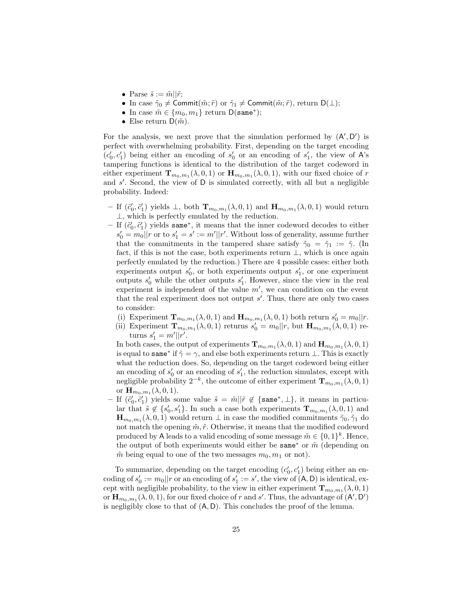- Parse  $\tilde{s} := \tilde{m} || \tilde{r}$ ;
- In case  $\tilde{\gamma}_0 \neq \text{Commit}(\tilde{m}; \tilde{r})$  or  $\tilde{\gamma}_1 \neq \text{Commit}(\tilde{m}; \tilde{r})$ , return  $D(\perp);$
- In case  $\tilde{m} \in \{m_0, m_1\}$  return  $\mathsf{D}(\texttt{same}^*)$ ;
- Else return  $D(\tilde{m})$ .

For the analysis, we next prove that the simulation performed by  $(A', D')$  is perfect with overwhelming probability. First, depending on the target encoding  $(c'_0, c'_1)$  being either an encoding of  $s'_0$  or an encoding of  $s'_1$ , the view of A's tampering functions is identical to the distribution of the target codeword in either experiment  $\mathbf{T}_{m_0,m_1}(\lambda,0,1)$  or  $\mathbf{H}_{m_0,m_1}(\lambda,0,1)$ , with our fixed choice of r and  $s'$ . Second, the view of  $D$  is simulated correctly, with all but a negligible probability. Indeed:

- − If  $(č_0, č_1')$  yields  $\bot$ , both  ${\bf T}_{m_0,m_1}(\lambda,0,1)$  and  ${\bf H}_{m_0,m_1}(\lambda,0,1)$  would return ⊥, which is perfectly emulated by the reduction.
- − If  $(č<sub>0</sub>, č<sub>1</sub>)$  yields same<sup>∗</sup>, it means that the inner codeword decodes to either  $s'_0 = m_0 || r$  or to  $s'_1 = s' := m'|| r'$ . Without loss of generality, assume further that the commitments in the tampered share satisfy  $\tilde{\gamma}_0 = \tilde{\gamma}_1 := \tilde{\gamma}$ . (In fact, if this is not the case, both experiments return  $\perp$ , which is once again perfectly emulated by the reduction.) There are 4 possible cases: either both experiments output  $s'_0$ , or both experiments output  $s'_1$ , or one experiment outputs  $s'_0$  while the other outputs  $s'_1$ . However, since the view in the real experiment is independent of the value  $m'$ , we can condition on the event that the real experiment does not output  $s'$ . Thus, there are only two cases to consider:
	- (i) Experiment  $\mathbf{T}_{m_0,m_1}(\lambda,0,1)$  and  $\mathbf{H}_{m_0,m_1}(\lambda,0,1)$  both return  $s'_0 = m_0 || r$ .
	- (ii) Experiment  $\mathbf{T}_{m_0,m_1}(\lambda,0,1)$  returns  $s'_0 = m_0 || r$ , but  $\mathbf{H}_{m_0,m_1}(\lambda,0,1)$  returns  $s'_1 = m'||r'.$

In both cases, the output of experiments  $\mathbf{T}_{m_0,m_1}(\lambda,0,1)$  and  $\mathbf{H}_{m_0,m_1}(\lambda,0,1)$ is equal to same<sup>\*</sup> if  $\tilde{\gamma} = \gamma$ , and else both experiments return  $\perp$ . This is exactly what the reduction does. So, depending on the target codeword being either an encoding of  $s'_0$  or an encoding of  $s'_1$ , the reduction simulates, except with negligible probability  $2^{-k}$ , the outcome of either experiment  $\mathbf{T}_{m_0,m_1}(\lambda,0,1)$ or  $\mathbf{H}_{m_0,m_1}(\lambda,0,1)$ .

- If  $(\tilde{c}'_0, \tilde{c}'_1)$  yields some value  $\tilde{s} = \tilde{m}||\tilde{r} \notin \{\texttt{same}^*, \perp\},\$ it means in particular that  $\tilde{s} \notin \{s'_0, s'_1\}$ . In such a case both experiments  $\mathbf{T}_{m_0,m_1}(\lambda,0,1)$  and  $\mathbf{H}_{m_0,m_1}(\lambda,0,1)$  would return  $\perp$  in case the modified commitments  $\tilde{\gamma}_0, \tilde{\gamma}_1$  do not match the opening  $\tilde{m}, \tilde{r}$ . Otherwise, it means that the modified codeword produced by A leads to a valid encoding of some message  $\tilde{m} \in \{0,1\}^k$ . Hence, the output of both experiments would either be same<sup>∗</sup> or  $\tilde{m}$  (depending on  $\tilde{m}$  being equal to one of the two messages  $m_0, m_1$  or not).

To summarize, depending on the target encoding  $(c'_0, c'_1)$  being either an encoding of  $s'_0 := m_0 || r$  or an encoding of  $s'_1 := s'$ , the view of  $(A, D)$  is identical, except with negligible probability, to the view in either experiment  $\mathbf{T}_{m_0,m_1}(\lambda,0,1)$ or  $\mathbf{H}_{m_0,m_1}(\lambda,0,1)$ , for our fixed choice of r and s'. Thus, the advantage of  $(\mathsf{A}',\mathsf{D}')$ is negligibly close to that of  $(A, D)$ . This concludes the proof of the lemma.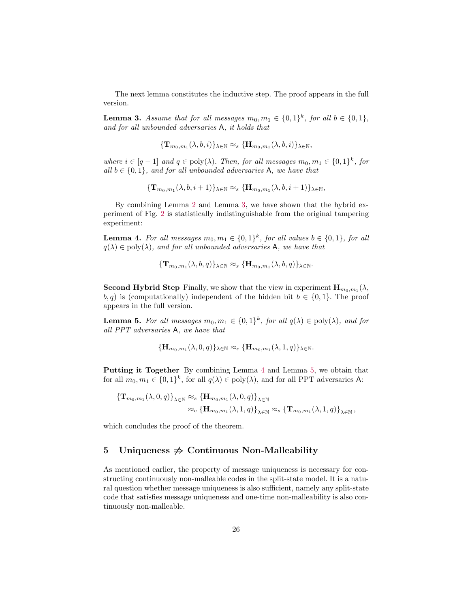<span id="page-25-1"></span>The next lemma constitutes the inductive step. The proof appears in the full version.

**Lemma 3.** Assume that for all messages  $m_0, m_1 \in \{0, 1\}^k$ , for all  $b \in \{0, 1\}$ , and for all unbounded adversaries A, it holds that

$$
{\{\mathbf{T}_{m_0,m_1}(\lambda,b,i)\}_{\lambda\in\mathbb{N}}\approx_s \{\mathbf{H}_{m_0,m_1}(\lambda,b,i)\}_{\lambda\in\mathbb{N}},}
$$

where  $i \in [q-1]$  and  $q \in \text{poly}(\lambda)$ . Then, for all messages  $m_0, m_1 \in \{0,1\}^k$ , for all  $b \in \{0, 1\}$ , and for all unbounded adversaries A, we have that

<span id="page-25-2"></span>
$$
{\{\mathbf{T}_{m_0,m_1}(\lambda,b,i+1)\}_{\lambda\in\mathbb{N}} \approx_s {\{\mathbf{H}_{m_0,m_1}(\lambda,b,i+1)\}_{\lambda\in\mathbb{N}}},
$$

By combining Lemma [2](#page-22-1) and Lemma [3,](#page-25-1) we have shown that the hybrid experiment of Fig. [2](#page-22-0) is statistically indistinguishable from the original tampering experiment:

**Lemma 4.** For all messages  $m_0, m_1 \in \{0, 1\}^k$ , for all values  $b \in \{0, 1\}$ , for all  $q(\lambda) \in \text{poly}(\lambda)$ , and for all unbounded adversaries A, we have that

<span id="page-25-3"></span>
$$
{\{\mathbf{T}_{m_0,m_1}(\lambda,b,q)\}_{\lambda\in\mathbb{N}}\approx_s \{\mathbf{H}_{m_0,m_1}(\lambda,b,q)\}_{\lambda\in\mathbb{N}}}.
$$

**Second Hybrid Step** Finally, we show that the view in experiment  $\mathbf{H}_{m_0,m_1}(\lambda)$ ,  $(b, q)$  is (computationally) independent of the hidden bit  $b \in \{0, 1\}$ . The proof appears in the full version.

**Lemma 5.** For all messages  $m_0, m_1 \in \{0, 1\}^k$ , for all  $q(\lambda) \in \text{poly}(\lambda)$ , and for all PPT adversaries A, we have that

$$
\{\mathbf H_{m_0,m_1}(\lambda,0,q)\}_{\lambda\in\mathbb N}\approx_c \{\mathbf H_{m_0,m_1}(\lambda,1,q)\}_{\lambda\in\mathbb N}.
$$

Putting it Together By combining Lemma [4](#page-25-2) and Lemma [5,](#page-25-3) we obtain that for all  $m_0, m_1 \in \{0, 1\}^k$ , for all  $q(\lambda) \in \text{poly}(\lambda)$ , and for all PPT adversaries A:

$$
\left\{ \mathbf{T}_{m_0,m_1}(\lambda,0,q) \right\}_{\lambda \in \mathbb{N}} \approx_s \left\{ \mathbf{H}_{m_0,m_1}(\lambda,0,q) \right\}_{\lambda \in \mathbb{N}}
$$
  

$$
\approx_c \left\{ \mathbf{H}_{m_0,m_1}(\lambda,1,q) \right\}_{\lambda \in \mathbb{N}} \approx_s \left\{ \mathbf{T}_{m_0,m_1}(\lambda,1,q) \right\}_{\lambda \in \mathbb{N}},
$$

which concludes the proof of the theorem.

## <span id="page-25-0"></span>5 Uniqueness  $\Rightarrow$  Continuous Non-Malleability

As mentioned earlier, the property of message uniqueness is necessary for constructing continuously non-malleable codes in the split-state model. It is a natural question whether message uniqueness is also sufficient, namely any split-state code that satisfies message uniqueness and one-time non-malleability is also continuously non-malleable.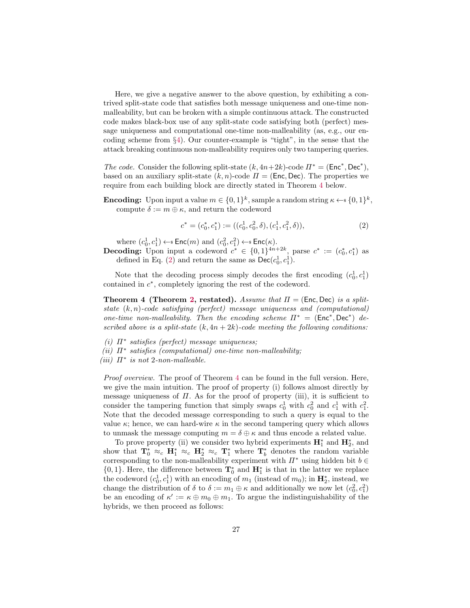Here, we give a negative answer to the above question, by exhibiting a contrived split-state code that satisfies both message uniqueness and one-time nonmalleability, but can be broken with a simple continuous attack. The constructed code makes black-box use of any split-state code satisfying both (perfect) message uniqueness and computational one-time non-malleability (as, e.g., our encoding scheme from §[4\)](#page-19-0). Our counter-example is "tight", in the sense that the attack breaking continuous non-malleability requires only two tampering queries.

The code. Consider the following split-state  $(k, 4n+2k)$ -code  $\Pi^* = (\text{Enc}^*, \text{Dec}^*),$ based on an auxiliary split-state  $(k, n)$ -code  $\Pi = (Enc, Dec)$ . The properties we require from each building block are directly stated in Theorem [4](#page-26-0) below.

**Encoding:** Upon input a value  $m \in \{0,1\}^k$ , sample a random string  $\kappa \leftarrow s \{0,1\}^k$ , compute  $\delta := m \oplus \kappa$ , and return the codeword

<span id="page-26-1"></span>
$$
c^* = (c_0^*, c_1^*) := ((c_0^1, c_0^2, \delta), (c_1^1, c_1^2, \delta)),
$$
\n(2)

where  $(c_0^1, c_1^1) \leftarrow$  Enc $(m)$  and  $(c_0^2, c_1^2) \leftarrow$  Enc $(\kappa)$ .

**Decoding:** Upon input a codeword  $c^* \in \{0,1\}^{4n+2k}$ , parse  $c^* := (c_0^*, c_1^*)$  as defined in Eq. [\(2\)](#page-26-1) and return the same as  $\mathsf{Dec}(c_0^1, c_1^1)$ .

Note that the decoding process simply decodes the first encoding  $(c_0^1, c_1^1)$ contained in  $c^*$ , completely ignoring the rest of the codeword.

<span id="page-26-0"></span>**Theorem 4 (Theorem [2,](#page-4-1) restated).** Assume that  $\Pi = (\text{Enc, Dec})$  is a splitstate  $(k, n)$ -code satisfying (perfect) message uniqueness and (computational) one-time non-malleability. Then the encoding scheme  $\Pi^* = (\text{Enc}^*, \text{Dec}^*)$  described above is a split-state  $(k, 4n + 2k)$ -code meeting the following conditions:

- (i)  $\Pi^*$  satisfies (perfect) message uniqueness;
- (ii)  $\Pi^*$  satisfies (computational) one-time non-malleability;
- (iii)  $\Pi^*$  is not 2-non-malleable.

Proof overview. The proof of Theorem [4](#page-26-0) can be found in the full version. Here, we give the main intuition. The proof of property (i) follows almost directly by message uniqueness of  $\Pi$ . As for the proof of property (iii), it is sufficient to consider the tampering function that simply swaps  $c_0^1$  with  $c_0^2$  and  $c_1^1$  with  $c_1^2$ . Note that the decoded message corresponding to such a query is equal to the value  $\kappa$ ; hence, we can hard-wire  $\kappa$  in the second tampering query which allows to unmask the message computing  $m = \delta \oplus \kappa$  and thus encode a related value.

To prove property (ii) we consider two hybrid experiments  $\mathbf{H}_1^*$  and  $\mathbf{H}_2^*$ , and show that  $\mathbf{T}_0^* \approx_c \mathbf{H}_1^* \approx_c \mathbf{H}_2^* \approx_c \mathbf{T}_1^*$  where  $\mathbf{T}_b^*$  denotes the random variable corresponding to the non-malleability experiment with  $\Pi^*$  using hidden bit  $b \in$  ${0, 1}$ . Here, the difference between  $\mathbf{T}_0^*$  and  $\mathbf{H}_1^*$  is that in the latter we replace the codeword  $(c_0^1, c_1^1)$  with an encoding of  $m_1$  (instead of  $m_0$ ); in  $\mathbf{H}_2^*$ , instead, we change the distribution of  $\delta$  to  $\delta := m_1 \oplus \kappa$  and additionally we now let  $(c_0^2, c_1^2)$ be an encoding of  $\kappa' := \kappa \oplus m_0 \oplus m_1$ . To argue the indistinguishability of the hybrids, we then proceed as follows: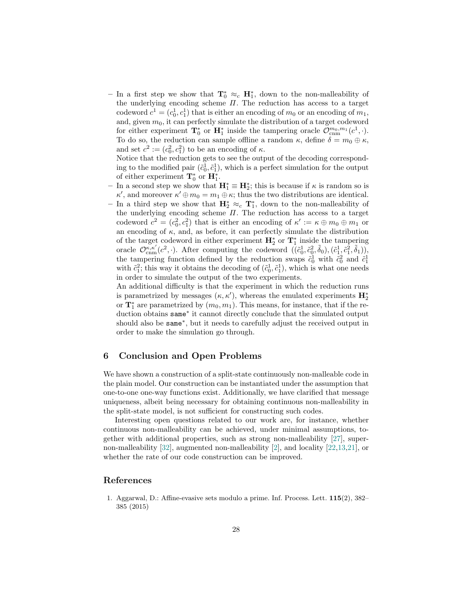– In a first step we show that  $\mathbf{T}_0^* ≈_c \mathbf{H}_1^*$ , down to the non-malleability of the underlying encoding scheme  $\Pi$ . The reduction has access to a target codeword  $c^1 = (c_0^1, c_1^1)$  that is either an encoding of  $m_0$  or an encoding of  $m_1$ , and, given  $m_0$ , it can perfectly simulate the distribution of a target codeword for either experiment  $\mathbf{T}_0^*$  or  $\mathbf{H}_1^*$  inside the tampering oracle  $\mathcal{O}_{\text{cnm}}^{m_0,m_1}(c^1,\cdot)$ . To do so, the reduction can sample offline a random  $\kappa$ , define  $\delta = m_0 \oplus \kappa$ , and set  $c^2 := (c_0^2, c_1^2)$  to be an encoding of  $\kappa$ .

Notice that the reduction gets to see the output of the decoding corresponding to the modified pair  $(\tilde{c}_0^1, \tilde{c}_1^1)$ , which is a perfect simulation for the output of either experiment  $\mathbf{T}_0^*$  or  $\mathbf{H}_1^*$ .

- − In a second step we show that  $\mathbf{H}_{1}^{*} \equiv \mathbf{H}_{2}^{*}$ ; this is because if  $\kappa$  is random so is  $\kappa'$ , and moreover  $\kappa' \oplus m_0 = m_1 \oplus \kappa$ ; thus the two distributions are identical.
- In a third step we show that  $\mathbf{H}_{2}^{*} \approx c \mathbf{T}_{1}^{*}$ , down to the non-malleability of the underlying encoding scheme  $\Pi$ . The reduction has access to a target codeword  $c^2 = (c_0^2, c_1^2)$  that is either an encoding of  $\kappa' := \kappa \oplus m_0 \oplus m_1$  or an encoding of  $\kappa$ , and, as before, it can perfectly simulate the distribution of the target codeword in either experiment  $\mathbf{H}_2^*$  or  $\mathbf{T}_1^*$  inside the tampering oracle  $\mathcal{O}^{\kappa,\kappa'}_{\text{cmm}}(c^2,\cdot)$ . After computing the codeword  $((\tilde{c}_0^1,\tilde{c}_0^2,\tilde{\delta}_0),(\tilde{c}_1^1,\tilde{c}_1^2,\tilde{\delta}_1)),$ the tampering function defined by the reduction swaps  $\tilde{c}_0^1$  with  $\tilde{c}_0^2$  and  $\tilde{c}_1^1$ with  $\tilde{c}_1^2$ ; this way it obtains the decoding of  $(\tilde{c}_0^1, \tilde{c}_1^1)$ , which is what one needs in order to simulate the output of the two experiments.

An additional difficulty is that the experiment in which the reduction runs is parametrized by messages  $(\kappa, \kappa')$ , whereas the emulated experiments  $\mathbf{H}_{2}^{*}$ or  $\mathbf{T}_1^*$  are parametrized by  $(m_0, m_1)$ . This means, for instance, that if the reduction obtains same<sup>∗</sup> it cannot directly conclude that the simulated output should also be same<sup>∗</sup> , but it needs to carefully adjust the received output in order to make the simulation go through.

## 6 Conclusion and Open Problems

We have shown a construction of a split-state continuously non-malleable code in the plain model. Our construction can be instantiated under the assumption that one-to-one one-way functions exist. Additionally, we have clarified that message uniqueness, albeit being necessary for obtaining continuous non-malleability in the split-state model, is not sufficient for constructing such codes.

Interesting open questions related to our work are, for instance, whether continuous non-malleability can be achieved, under minimal assumptions, together with additional properties, such as strong non-malleability [\[27\]](#page-29-0), supernon-malleability [\[32\]](#page-29-6), augmented non-malleability [\[2\]](#page-28-7), and locality [\[22](#page-28-6)[,13,](#page-28-4)[21\]](#page-28-21), or whether the rate of our code construction can be improved.

# References

<span id="page-27-0"></span>1. Aggarwal, D.: Affine-evasive sets modulo a prime. Inf. Process. Lett. 115(2), 382– 385 (2015)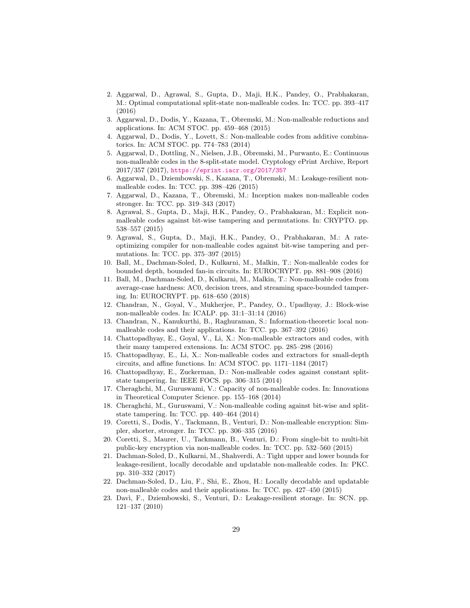- <span id="page-28-7"></span>2. Aggarwal, D., Agrawal, S., Gupta, D., Maji, H.K., Pandey, O., Prabhakaran, M.: Optimal computational split-state non-malleable codes. In: TCC. pp. 393–417 (2016)
- <span id="page-28-3"></span>3. Aggarwal, D., Dodis, Y., Kazana, T., Obremski, M.: Non-malleable reductions and applications. In: ACM STOC. pp. 459–468 (2015)
- <span id="page-28-0"></span>4. Aggarwal, D., Dodis, Y., Lovett, S.: Non-malleable codes from additive combinatorics. In: ACM STOC. pp. 774–783 (2014)
- <span id="page-28-11"></span>5. Aggarwal, D., Dottling, N., Nielsen, J.B., Obremski, M., Purwanto, E.: Continuous non-malleable codes in the 8-split-state model. Cryptology ePrint Archive, Report 2017/357 (2017), <https://eprint.iacr.org/2017/357>
- <span id="page-28-2"></span>6. Aggarwal, D., Dziembowski, S., Kazana, T., Obremski, M.: Leakage-resilient nonmalleable codes. In: TCC. pp. 398–426 (2015)
- <span id="page-28-5"></span>7. Aggarwal, D., Kazana, T., Obremski, M.: Inception makes non-malleable codes stronger. In: TCC. pp. 319–343 (2017)
- <span id="page-28-13"></span>8. Agrawal, S., Gupta, D., Maji, H.K., Pandey, O., Prabhakaran, M.: Explicit nonmalleable codes against bit-wise tampering and permutations. In: CRYPTO. pp. 538–557 (2015)
- <span id="page-28-14"></span>9. Agrawal, S., Gupta, D., Maji, H.K., Pandey, O., Prabhakaran, M.: A rateoptimizing compiler for non-malleable codes against bit-wise tampering and permutations. In: TCC. pp. 375–397 (2015)
- <span id="page-28-18"></span>10. Ball, M., Dachman-Soled, D., Kulkarni, M., Malkin, T.: Non-malleable codes for bounded depth, bounded fan-in circuits. In: EUROCRYPT. pp. 881–908 (2016)
- <span id="page-28-17"></span>11. Ball, M., Dachman-Soled, D., Kulkarni, M., Malkin, T.: Non-malleable codes from average-case hardness: AC0, decision trees, and streaming space-bounded tampering. In: EUROCRYPT. pp. 618–650 (2018)
- <span id="page-28-10"></span>12. Chandran, N., Goyal, V., Mukherjee, P., Pandey, O., Upadhyay, J.: Block-wise non-malleable codes. In: ICALP. pp. 31:1–31:14 (2016)
- <span id="page-28-4"></span>13. Chandran, N., Kanukurthi, B., Raghuraman, S.: Information-theoretic local nonmalleable codes and their applications. In: TCC. pp. 367–392 (2016)
- <span id="page-28-12"></span>14. Chattopadhyay, E., Goyal, V., Li, X.: Non-malleable extractors and codes, with their many tampered extensions. In: ACM STOC. pp. 285–298 (2016)
- <span id="page-28-19"></span>15. Chattopadhyay, E., Li, X.: Non-malleable codes and extractors for small-depth circuits, and affine functions. In: ACM STOC. pp. 1171–1184 (2017)
- <span id="page-28-16"></span>16. Chattopadhyay, E., Zuckerman, D.: Non-malleable codes against constant splitstate tampering. In: IEEE FOCS. pp. 306–315 (2014)
- <span id="page-28-15"></span>17. Cheraghchi, M., Guruswami, V.: Capacity of non-malleable codes. In: Innovations in Theoretical Computer Science. pp. 155–168 (2014)
- <span id="page-28-1"></span>18. Cheraghchi, M., Guruswami, V.: Non-malleable coding against bit-wise and splitstate tampering. In: TCC. pp. 440–464 (2014)
- <span id="page-28-9"></span>19. Coretti, S., Dodis, Y., Tackmann, B., Venturi, D.: Non-malleable encryption: Simpler, shorter, stronger. In: TCC. pp. 306–335 (2016)
- <span id="page-28-8"></span>20. Coretti, S., Maurer, U., Tackmann, B., Venturi, D.: From single-bit to multi-bit public-key encryption via non-malleable codes. In: TCC. pp. 532–560 (2015)
- <span id="page-28-21"></span>21. Dachman-Soled, D., Kulkarni, M., Shahverdi, A.: Tight upper and lower bounds for leakage-resilient, locally decodable and updatable non-malleable codes. In: PKC. pp. 310–332 (2017)
- <span id="page-28-6"></span>22. Dachman-Soled, D., Liu, F., Shi, E., Zhou, H.: Locally decodable and updatable non-malleable codes and their applications. In: TCC. pp. 427–450 (2015)
- <span id="page-28-20"></span>23. Dav`ı, F., Dziembowski, S., Venturi, D.: Leakage-resilient storage. In: SCN. pp. 121–137 (2010)